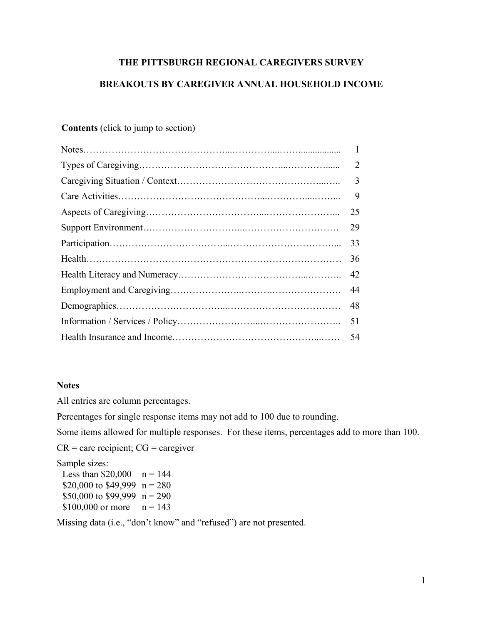# **THE PITTSBURGH REGIONAL CAREGIVERS SURVEY**

# **BREAKOUTS BY CAREGIVER ANNUAL HOUSEHOLD INCOME**

# **Contents** (click to jump to section)

| $\overline{2}$ |
|----------------|
| $\overline{3}$ |
| 9              |
| 25             |
| 29             |
| 33             |
| 36             |
| 42             |
| 44             |
| 48             |
| 51             |
| 54             |
|                |

# **Notes**

All entries are column percentages.

Percentages for single response items may not add to 100 due to rounding.

Some items allowed for multiple responses. For these items, percentages add to more than 100.

 $CR =$  care recipient;  $CG =$  caregiver

Sample sizes:

| Less than $$20,000$            | $n = 144$ |
|--------------------------------|-----------|
| \$20,000 to \$49,999 $n = 280$ |           |
| \$50,000 to \$99,999 $n = 290$ |           |
| \$100,000 or more              | $n = 143$ |

Missing data (i.e., "don't know" and "refused") are not presented.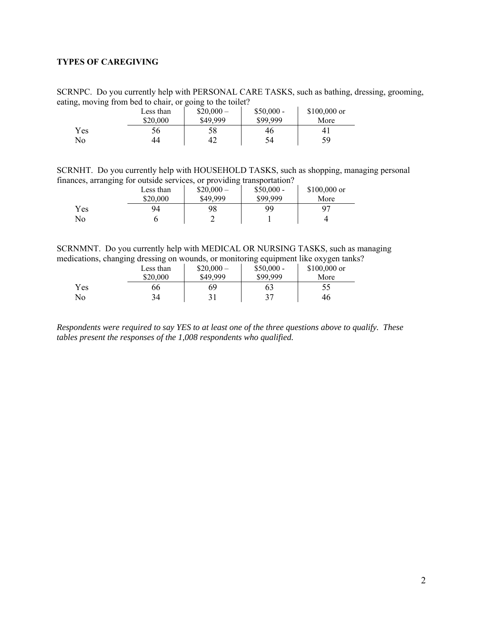# <span id="page-1-0"></span>**TYPES OF CAREGIVING**

SCRNPC. Do you currently help with PERSONAL CARE TASKS, such as bathing, dressing, grooming, eating, moving from bed to chair, or going to the toilet?

| --  | Less than<br>\$20,000 | $$20,000-$<br>\$49,999 | $$50,000 -$<br>\$99.999 | $$100,000$ or<br>More |  |
|-----|-----------------------|------------------------|-------------------------|-----------------------|--|
| Yes | 56                    | 58                     | 46                      | 4.                    |  |
| No  | 44                    | 42                     | 54                      | 59                    |  |

SCRNHT. Do you currently help with HOUSEHOLD TASKS, such as shopping, managing personal finances, arranging for outside services, or providing transportation?

|     | Less than | $$20,000-$ | $$50,000 -$ | $$100,000$ or |
|-----|-----------|------------|-------------|---------------|
|     | \$20,000  | \$49,999   | \$99.999    | More          |
| Yes | 94        | 98         | 99          | 97            |
| No  |           |            |             |               |

SCRNMNT. Do you currently help with MEDICAL OR NURSING TASKS, such as managing medications, changing dressing on wounds, or monitoring equipment like oxygen tanks?

|     | Less than | $$20,000-$ | $$50,000 -$ | $$100,000$ or |
|-----|-----------|------------|-------------|---------------|
|     | \$20,000  | \$49,999   | \$99,999    | More          |
| Yes | 66        | 69         | 63          |               |
| No  | 34        | 31         | 27          | 46            |

*Respondents were required to say YES to at least one of the three questions above to qualify. These tables present the responses of the 1,008 respondents who qualified.*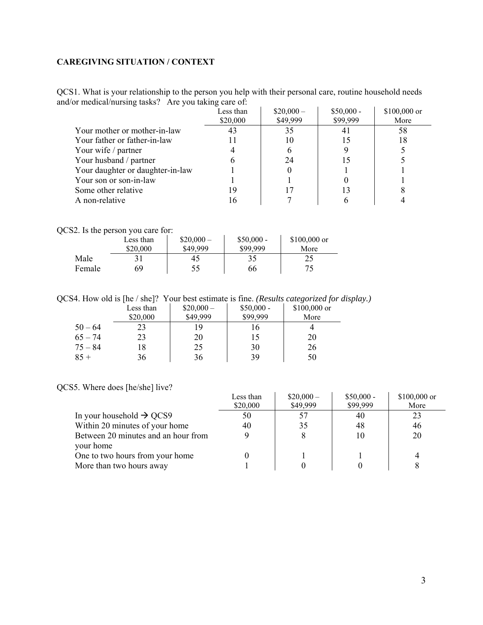# <span id="page-2-0"></span>**CAREGIVING SITUATION / CONTEXT**

QCS1. What is your relationship to the person you help with their personal care, routine household needs and/or medical/nursing tasks? Are you taking care of:

|                                  | Less than<br>\$20,000 | $$20,000-$<br>\$49,999 | $$50,000 -$<br>\$99,999 | $$100,000$ or<br>More |
|----------------------------------|-----------------------|------------------------|-------------------------|-----------------------|
| Your mother or mother-in-law     |                       | 35                     |                         | 58                    |
| Your father or father-in-law     |                       | 10                     |                         | 18                    |
| Your wife / partner              |                       |                        |                         |                       |
| Your husband / partner           |                       | 24                     |                         |                       |
| Your daughter or daughter-in-law |                       |                        |                         |                       |
| Your son or son-in-law           |                       |                        |                         |                       |
| Some other relative              | 19                    |                        |                         |                       |
| A non-relative                   | 16                    |                        |                         |                       |

QCS2. Is the person you care for:

|        | Less than | $$20,000-$ | $$50,000 -$ | $$100,000$ or |
|--------|-----------|------------|-------------|---------------|
|        | \$20,000  | \$49.999   | \$99.999    | More          |
| Male   |           | 45         | 35          | 25            |
| Female | 69        | 55         | 66          | クぐ            |

QCS4. How old is [he / she]? Your best estimate is fine. *(Results categorized for display.)*

|           | Less than | $$20,000-$ | $$50,000 -$ | $$100,000$ or |
|-----------|-----------|------------|-------------|---------------|
|           | \$20,000  | \$49,999   | \$99,999    | More          |
| $50 - 64$ | 23        | 19         | l b         |               |
| $65 - 74$ | 23        | 20         | 15          | 20            |
| $75 - 84$ | 18        | 25         | 30          | 26            |
| $85 +$    | 36        | 36         | 39          | 50            |

QCS5. Where does [he/she] live?

|                                      | Less than | $$20,000-$ | $$50,000 -$ | $$100,000$ or |
|--------------------------------------|-----------|------------|-------------|---------------|
|                                      | \$20,000  | \$49,999   | \$99,999    | More          |
| In your household $\rightarrow$ QCS9 | 50        | 57         | 40          | 23            |
| Within 20 minutes of your home       | 40        | 35         | 48          | 46            |
| Between 20 minutes and an hour from  |           | X          | 10          | 20            |
| your home                            |           |            |             |               |
| One to two hours from your home      |           |            |             |               |
| More than two hours away             |           |            |             |               |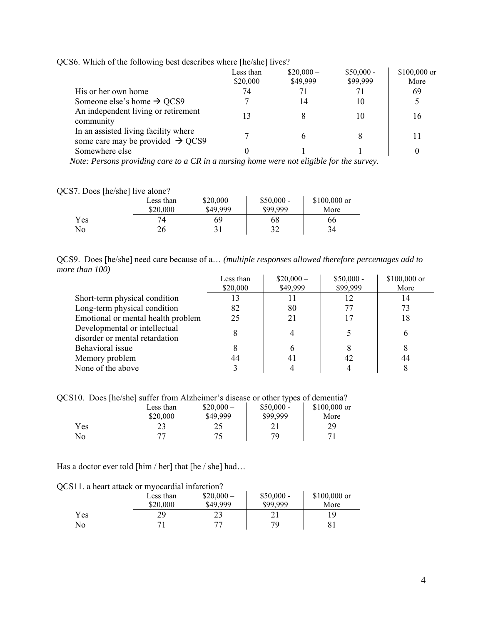|  | QCS6. Which of the following best describes where [he/she] lives? |  |  |  |  |
|--|-------------------------------------------------------------------|--|--|--|--|
|--|-------------------------------------------------------------------|--|--|--|--|

|                                                                                      | Less than<br>\$20,000 | $$20,000-$<br>\$49,999 | $$50,000 -$<br>\$99,999 | \$100,000 or<br>More |
|--------------------------------------------------------------------------------------|-----------------------|------------------------|-------------------------|----------------------|
| His or her own home                                                                  | 74                    | 71                     | 71                      | 69                   |
| Someone else's home $\rightarrow$ QCS9                                               |                       | 14                     | 10                      |                      |
| An independent living or retirement<br>community                                     | 13                    | 8                      | 10                      | 16                   |
| In an assisted living facility where<br>some care may be provided $\rightarrow$ QCS9 |                       | 6                      | 8                       |                      |
| Somewhere else                                                                       |                       |                        |                         |                      |

 *Note: Persons providing care to a CR in a nursing home were not eligible for the survey.* 

# QCS7. Does [he/she] live alone?

| ┚   | Less than<br>\$20,000 | $$20,000-$<br>\$49,999 | $$50,000 -$<br>\$99,999 | $$100,000$ or<br>More |
|-----|-----------------------|------------------------|-------------------------|-----------------------|
| Yes | 74                    | 69                     | 68                      | 66                    |
| No  | 26                    |                        | 32                      | 34                    |

|                | QCS9. Does [he/she] need care because of a (multiple responses allowed therefore percentages add to |  |  |  |  |
|----------------|-----------------------------------------------------------------------------------------------------|--|--|--|--|
| more than 100) |                                                                                                     |  |  |  |  |

|                                    | Less than | $$20,000-$ | $$50,000 -$ | $$100,000$ or |
|------------------------------------|-----------|------------|-------------|---------------|
|                                    | \$20,000  | \$49,999   | \$99,999    | More          |
| Short-term physical condition      | 13        |            |             | 14            |
| Long-term physical condition       | 82        | 80         | 77          | 73            |
| Emotional or mental health problem | 25        | 21         |             | 18            |
| Developmental or intellectual      |           |            |             | h             |
| disorder or mental retardation     |           |            |             |               |
| Behavioral issue                   |           | h          | 8           |               |
| Memory problem                     | 44        | 41         | 42          | 44            |
| None of the above                  |           |            |             |               |

QCS10. Does [he/she] suffer from Alzheimer's disease or other types of dementia?

|     | Less than | $$20,000-$ | $$50,000 -$ | $$100,000$ or |
|-----|-----------|------------|-------------|---------------|
|     | \$20,000  | \$49,999   | \$99.999    | More          |
| Yes | ر ب       | つく<br>ر بے |             | 29            |
| No  |           |            | 70          |               |

Has a doctor ever told [him / her] that [he / she] had…

|     | Less than | $$20,000-$ | $$50,000 -$ | $$100,000$ or |
|-----|-----------|------------|-------------|---------------|
|     | \$20,000  | \$49,999   | \$99,999    | More          |
| Yes | 29        | າາ<br>23   |             | ۱۹            |
| No  |           | 77         | 70          |               |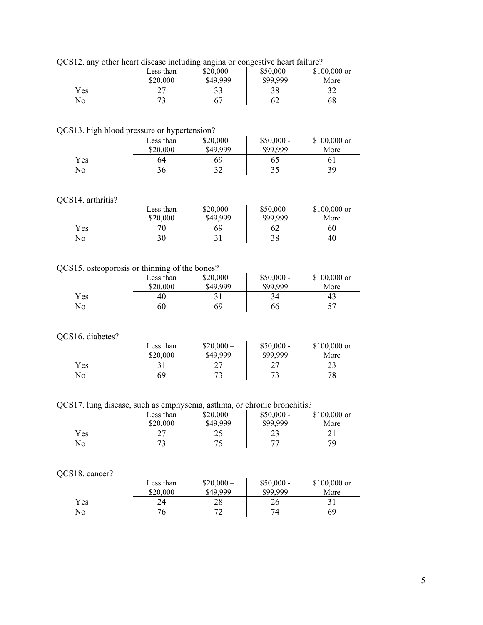| 12. any other heart disease including anglia or congestrye heart family. |           |            |             |               |  |
|--------------------------------------------------------------------------|-----------|------------|-------------|---------------|--|
|                                                                          | Less than | $$20,000-$ | $$50,000 -$ | $$100,000$ or |  |
|                                                                          | \$20,000  | \$49,999   | \$99.999    | More          |  |
| Yes                                                                      |           | 33         | 38          |               |  |
| No                                                                       |           |            | 62          | 68            |  |

QCS12. any other heart disease including angina or congestive heart failure?

## QCS13. high blood pressure or hypertension?

|     | Less than | $$20,000-$ | $$50,000 -$ | $$100,000$ or |
|-----|-----------|------------|-------------|---------------|
|     | \$20,000  | \$49,999   | \$99.999    | More          |
| Yes | 64        | 69         | 65          | 61            |
| No  | 36        | 20         | 35          | 39            |

### QCS14. arthritis?

|     | Less than<br>\$20,000 | $$20,000-$<br>\$49,999 | $$50,000 -$<br>\$99,999 | $$100,000$ or<br>More |
|-----|-----------------------|------------------------|-------------------------|-----------------------|
| Yes | 70                    | 69                     | 62                      | 60                    |
| No  | 30                    |                        | 38                      | 40                    |

# QCS15. osteoporosis or thinning of the bones?

|     | Less than<br>\$20,000 | $$20,000-$<br>\$49,999 | $$50,000 -$<br>\$99,999 | \$100,000 or<br>More |
|-----|-----------------------|------------------------|-------------------------|----------------------|
| Yes | 40                    |                        | 34                      | 43                   |
| No  | 60                    | 69                     | 66                      |                      |

#### QCS16. diabetes?

|     | Less than | $$20,000-$ | $$50,000 -$ | $$100,000$ or |
|-----|-----------|------------|-------------|---------------|
|     | \$20,000  | \$49,999   | \$99,999    | More          |
| Yes |           |            | רר<br>∼     | 23            |
| No  | 69        |            | 72          | 78            |

QCS17. lung disease, such as emphysema, asthma, or chronic bronchitis?

|     | Less than<br>\$20,000 | $$20,000-$<br>\$49,999 | $$50,000 -$<br>\$99,999 | \$100,000 or<br>More |
|-----|-----------------------|------------------------|-------------------------|----------------------|
| Yes | דר                    | ኅ ሩ<br>ر بے            | ر ے                     |                      |
| No  | רי                    | 75                     | 77                      | 79                   |

### QCS18. cancer?

|     | Less than | $$20,000-$ | $$50,000 -$ | $$100,000$ or |
|-----|-----------|------------|-------------|---------------|
|     | \$20,000  | \$49,999   | \$99,999    | More          |
| Yes | 24        | 28         | 26          |               |
| No  | 76        | 70         | 74          | 69            |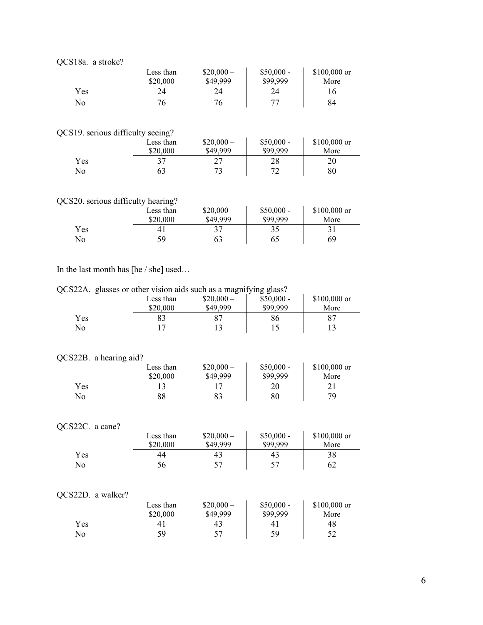|     | Less than<br>\$20,000 | $$20,000-$<br>\$49,999 | $$50,000 -$<br>\$99,999 | $$100,000$ or<br>More |  |  |
|-----|-----------------------|------------------------|-------------------------|-----------------------|--|--|
| Yes | 24                    | 24                     | 24                      | 16                    |  |  |
| No  | 76                    | 76                     | חח                      | 84                    |  |  |

QCS19. serious difficulty seeing?

| 519. SUIDUS GIILICUITY SUUME! |           |            |             |               |
|-------------------------------|-----------|------------|-------------|---------------|
|                               | Less than | $$20,000-$ | $$50,000 -$ | $$100,000$ or |
|                               | \$20,000  | \$49,999   | \$99,999    | More          |
| Yes                           |           | つフ         | 28          | 20            |
| N <sub>o</sub>                |           | 73         | 70          | 80            |

# QCS20. serious difficulty hearing?

|     | Less than      | $$20,000-$ | $$50,000 -$ | $$100,000$ or |
|-----|----------------|------------|-------------|---------------|
|     | \$20,000       | \$49,999   | \$99.999    | More          |
| Yes | 4 <sub>1</sub> |            | ን 5         |               |
| No  | 59             | 63         | 65          | 69            |

# In the last month has [he / she] used…

QCS22A. glasses or other vision aids such as a magnifying glass?

|     | Less than | $$20,000-$ | $$50,000 -$ | $$100,000$ or |
|-----|-----------|------------|-------------|---------------|
|     | \$20,000  | \$49,999   | \$99,999    | More          |
| Yes |           |            | 86          | -87           |
| No  |           |            |             |               |

# QCS22B. a hearing aid?

|     | Less than | $$20,000-$ | $$50,000 -$ | $$100,000$ or |
|-----|-----------|------------|-------------|---------------|
|     | \$20,000  | \$49,999   | \$99,999    | More          |
| Yes |           |            | 20          |               |
| No  | 88        | 83         | 80          | 79            |

# QCS22C. a cane?

|     | Less than | $$20,000-$ | $$50,000 -$ | $$100,000$ or |
|-----|-----------|------------|-------------|---------------|
|     | \$20,000  | \$49,999   | \$99,999    | More          |
| Yes | 44        | 43         | 43          | 38            |
| No  | 56        |            | .57         | 62            |

### QCS22D. a walker?

|     | Less than<br>\$20,000 | $$20,000-$<br>\$49,999 | $$50,000 -$<br>\$99.999 | $$100,000$ or<br>More |
|-----|-----------------------|------------------------|-------------------------|-----------------------|
| Yes | 4 <sub>1</sub>        | 43                     | 4 <sub>1</sub>          | 48                    |
| No  | 59                    | 57                     | 59                      |                       |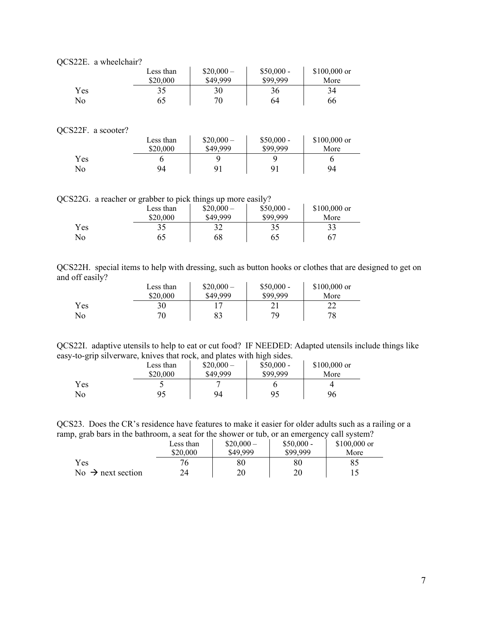| QCS22E. a wheelchair? |           |            |             |               |
|-----------------------|-----------|------------|-------------|---------------|
|                       | Less than | $$20,000-$ | $$50,000 -$ | $$100,000$ or |
|                       | \$20,000  | \$49,999   | \$99.999    | More          |
| Yes                   | 35        | 30         | 36          | 34            |
| No                    | 65        | 70         | 64          | 66            |

### QCS22F. a scooter?

| $2221$ . a SCOOLEL |           |                           |          |               |
|--------------------|-----------|---------------------------|----------|---------------|
|                    | Less than | $$50,000 -$<br>$$20,000-$ |          | $$100,000$ or |
|                    | \$20,000  | \$49,999                  | \$99,999 | More          |
| <b>Yes</b>         |           |                           |          |               |
| No                 | 94        | 91                        | 9        | 94            |

QCS22G. a reacher or grabber to pick things up more easily?

|           | -<br>Less than<br>\$20,000 | $$20,000-$<br>\$49.999 | $$50,000 -$<br>\$99.999 | $$100,000$ or<br>More |
|-----------|----------------------------|------------------------|-------------------------|-----------------------|
| Yes<br>No | 35<br>65                   | 20<br>ЭŹ<br>68         | 35<br>65                | 33                    |

| QCS22H. special items to help with dressing, such as button hooks or clothes that are designed to get on |  |  |  |  |  |  |  |  |
|----------------------------------------------------------------------------------------------------------|--|--|--|--|--|--|--|--|
| and off easily?                                                                                          |  |  |  |  |  |  |  |  |

|     | Less than | $$20,000-$ | $$50,000 -$ | $$100,000$ or |
|-----|-----------|------------|-------------|---------------|
|     | \$20,000  | \$49,999   | \$99.999    | More          |
| Yes | 30        |            |             |               |
| No  | 70        | 83         | 79          | 78            |

|  |  |                                                                        | QCS22I. adaptive utensils to help to eat or cut food? IF NEEDED: Adapted utensils include things like |  |
|--|--|------------------------------------------------------------------------|-------------------------------------------------------------------------------------------------------|--|
|  |  | easy-to-grip silverware, knives that rock, and plates with high sides. |                                                                                                       |  |

|     | Less than | $$20,000-$ | $$50,000 -$ | $$100,000$ or |
|-----|-----------|------------|-------------|---------------|
|     | \$20,000  | \$49,999   | \$99,999    | More          |
| Yes |           |            |             |               |
| No  | 95        | 94         | 95          | 96            |

QCS23. Does the CR's residence have features to make it easier for older adults such as a railing or a ramp, grab bars in the bathroom, a seat for the shower or tub, or an emergency call system?

|                               | Less than | $$20,000-$ | $$50,000 -$ | $$100,000$ or |
|-------------------------------|-----------|------------|-------------|---------------|
|                               | \$20,000  | \$49.999   | \$99.999    | More          |
| Yes                           | 76        | $80\,$     | $80\,$      | 85            |
| No $\rightarrow$ next section | 24        | 20         | 20          |               |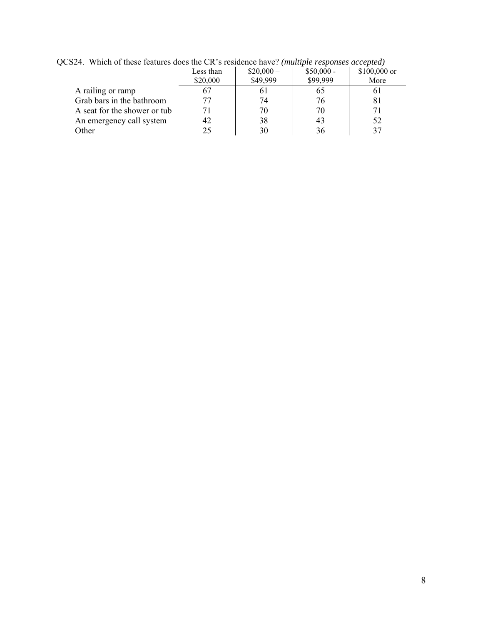| $\sim$ 1. Then of these features does the CR s festivally have. (manple responses accepted) |           |            |             |               |  |  |  |
|---------------------------------------------------------------------------------------------|-----------|------------|-------------|---------------|--|--|--|
|                                                                                             | Less than | $$20,000-$ | $$50,000 -$ | $$100,000$ or |  |  |  |
|                                                                                             | \$20,000  | \$49,999   | \$99,999    | More          |  |  |  |
| A railing or ramp                                                                           |           | 6 I        | 65          | 01            |  |  |  |
| Grab bars in the bathroom                                                                   |           | 74         | 76          | 81            |  |  |  |
| A seat for the shower or tub                                                                |           | 70         | 70          | 71            |  |  |  |
| An emergency call system                                                                    | 42        | 38         | 43          | 52            |  |  |  |
| Other                                                                                       |           | 30         | 36          | 37            |  |  |  |

QCS24. Which of these features does the CR's residence have? *(multiple responses accepted)*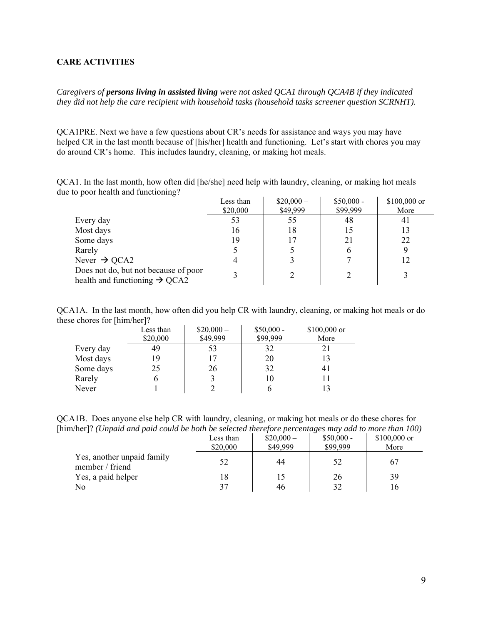### <span id="page-8-0"></span>**CARE ACTIVITIES**

*Caregivers of persons living in assisted living were not asked QCA1 through QCA4B if they indicated they did not help the care recipient with household tasks (household tasks screener question SCRNHT).* 

QCA1PRE. Next we have a few questions about CR's needs for assistance and ways you may have helped CR in the last month because of [his/her] health and functioning. Let's start with chores you may do around CR's home. This includes laundry, cleaning, or making hot meals.

QCA1. In the last month, how often did [he/she] need help with laundry, cleaning, or making hot meals due to poor health and functioning?

|                                                                                   | Less than | $$20,000-$ | $$50,000 -$ | \$100,000 or |
|-----------------------------------------------------------------------------------|-----------|------------|-------------|--------------|
|                                                                                   | \$20,000  | \$49,999   | \$99,999    | More         |
| Every day                                                                         | 53        | 55         | 48          | 41           |
| Most days                                                                         | 16        | 18         | 15          | 13           |
| Some days                                                                         | 19        |            | 21          | 22           |
| Rarely                                                                            |           |            | h           |              |
| Never $\rightarrow$ QCA2                                                          |           |            |             |              |
| Does not do, but not because of poor<br>health and functioning $\rightarrow$ QCA2 |           |            |             |              |

QCA1A. In the last month, how often did you help CR with laundry, cleaning, or making hot meals or do these chores for [him/her]?

|           | Less than | $$20,000-$ | $$50,000 -$ | \$100,000 or |
|-----------|-----------|------------|-------------|--------------|
|           | \$20,000  | \$49,999   | \$99,999    | More         |
| Every day | 49        | 53         | 32          |              |
| Most days | 19        |            | 20          |              |
| Some days | 25        | 26         | 32          | 41           |
| Rarely    |           |            | 10          |              |
| Never     |           |            |             |              |

QCA1B. Does anyone else help CR with laundry, cleaning, or making hot meals or do these chores for [him/her]? *(Unpaid and paid could be both be selected therefore percentages may add to more than 100)* 

|                                               | Less than<br>\$20,000 | $$20,000-$<br>\$49,999 | $\cdot$ $\cdot$<br>$$50,000 -$<br>\$99,999 | $$100,000$ or<br>More |
|-----------------------------------------------|-----------------------|------------------------|--------------------------------------------|-----------------------|
| Yes, another unpaid family<br>member / friend | 52                    | 44                     | 52                                         | 67                    |
| Yes, a paid helper                            | 18                    |                        | 26                                         | 39                    |
| No                                            | 37                    | 46                     | 32                                         | 16                    |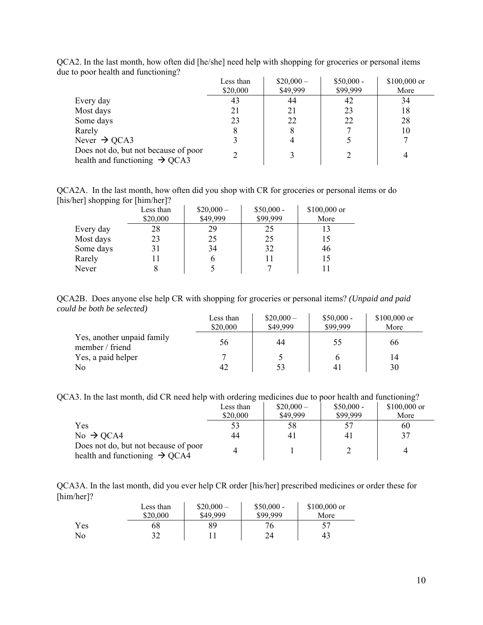| ັ                                                                                 | Less than<br>\$20,000 | $$20,000-$<br>\$49,999 | $$50,000 -$<br>\$99,999 | $$100,000$ or<br>More |
|-----------------------------------------------------------------------------------|-----------------------|------------------------|-------------------------|-----------------------|
| Every day                                                                         | 43                    | 44                     | 42                      | 34                    |
| Most days                                                                         | 21                    | 21                     | 23                      | 18                    |
| Some days                                                                         | 23                    | 22                     | 22                      | 28                    |
| Rarely                                                                            | 8                     | 8                      |                         | 10                    |
| Never $\rightarrow$ QCA3                                                          |                       |                        |                         |                       |
| Does not do, but not because of poor<br>health and functioning $\rightarrow$ QCA3 |                       |                        |                         |                       |

QCA2. In the last month, how often did [he/she] need help with shopping for groceries or personal items due to poor health and functioning?

QCA2A. In the last month, how often did you shop with CR for groceries or personal items or do [his/her] shopping for [him/her]?

|           | Less than | $$20,000-$ | $$50,000 -$ | \$100,000 or |
|-----------|-----------|------------|-------------|--------------|
|           | \$20,000  | \$49,999   | \$99,999    | More         |
| Every day | 28        | 29         | 25          | 13           |
| Most days | 23        | 25         | 25          | 15           |
| Some days | 31        | 34         | 32          | 46           |
| Rarely    |           |            | 11          | 15           |
| Never     |           |            |             |              |

QCA2B. Does anyone else help CR with shopping for groceries or personal items? *(Unpaid and paid could be both be selected)* 

|                                               | Less than<br>\$20,000 | $$20,000-$<br>\$49,999 | $$50,000 -$<br>\$99,999 | $$100,000$ or<br>More |
|-----------------------------------------------|-----------------------|------------------------|-------------------------|-----------------------|
| Yes, another unpaid family<br>member / friend | 56                    | 44                     | 55                      | 66                    |
| Yes, a paid helper                            |                       |                        |                         | 14                    |
| No                                            | 42                    | 53                     |                         | 30                    |

QCA3. In the last month, did CR need help with ordering medicines due to poor health and functioning?

|                                                                                   | Less than | $$20,000-$ | $$50,000 -$ | $$100,000$ or |
|-----------------------------------------------------------------------------------|-----------|------------|-------------|---------------|
|                                                                                   | \$20,000  | \$49,999   | \$99,999    | More          |
| Yes                                                                               | 53        | 58         |             | 60            |
| $No \rightarrow QCA4$                                                             | 44        | 41         | 41          | 37            |
| Does not do, but not because of poor<br>health and functioning $\rightarrow$ QCA4 | 4         |            |             | 4             |

QCA3A. In the last month, did you ever help CR order [his/her] prescribed medicines or order these for [him/her]?

|     | Less than<br>\$20,000 | $$20,000-$<br>\$49,999 | $$50,000 -$<br>\$99,999 | $$100,000$ or<br>More |  |
|-----|-----------------------|------------------------|-------------------------|-----------------------|--|
| Yes | 68                    | 89                     | 76                      |                       |  |
| No  | າາ<br>ے ر             |                        | 24                      | 43                    |  |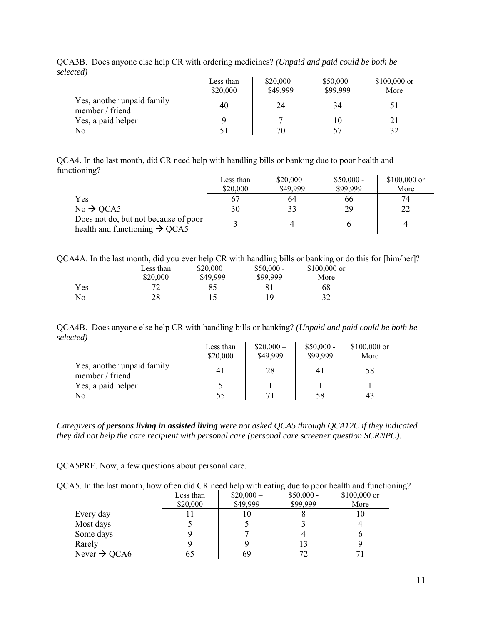|                                               | Less than<br>\$20,000 | $$20,000-$<br>\$49,999 | $$50,000 -$<br>\$99,999 | $$100,000$ or<br>More |
|-----------------------------------------------|-----------------------|------------------------|-------------------------|-----------------------|
| Yes, another unpaid family<br>member / friend | 40                    | 24                     | 34                      | 51                    |
| Yes, a paid helper                            |                       |                        | 10                      | 21                    |
| N <sub>0</sub>                                |                       | 70                     | 57                      | 32                    |

QCA3B. Does anyone else help CR with ordering medicines? *(Unpaid and paid could be both be selected)*

QCA4. In the last month, did CR need help with handling bills or banking due to poor health and functioning?

|                                                                                   | Less than | $$20,000-$ | $$50,000 -$ | $$100,000$ or |
|-----------------------------------------------------------------------------------|-----------|------------|-------------|---------------|
|                                                                                   | \$20,000  | \$49,999   | \$99,999    | More          |
| Yes                                                                               |           | 64         | 66          | 74            |
| $No \rightarrow QCA5$                                                             | 30        | 33         | 29          | 22            |
| Does not do, but not because of poor<br>health and functioning $\rightarrow$ QCA5 |           |            |             |               |

| OCA4A. In the last month, did you ever help CR with handling bills or banking or do this for [him/her]? |  |  |  |  |  |  |  |  |  |  |  |
|---------------------------------------------------------------------------------------------------------|--|--|--|--|--|--|--|--|--|--|--|
|                                                                                                         |  |  |  |  |  |  |  |  |  |  |  |

|     | Less than | $$20,000-$ | $$50,000 -$ | $$100,000$ or |
|-----|-----------|------------|-------------|---------------|
|     | \$20,000  | \$49,999   | \$99.999    | More          |
| Yes |           | 85         |             | 68            |
| No  | 28        |            | 1 Q         | 32            |

QCA4B. Does anyone else help CR with handling bills or banking? *(Unpaid and paid could be both be selected)*  $\mathbf{u}$  $\mathcal{L}_{\mathrm{in}}$  $\bar{a}$ 

|                                               | Less than<br>\$20,000 | $$20,000-$<br>\$49,999 | $$50,000 -$<br>\$99,999 | $$100,000$ or<br>More |
|-----------------------------------------------|-----------------------|------------------------|-------------------------|-----------------------|
| Yes, another unpaid family<br>member / friend |                       | 28                     | 4 I                     | 58                    |
| Yes, a paid helper                            |                       |                        |                         |                       |
| No                                            | 55                    |                        | 58                      | 43                    |

*Caregivers of persons living in assisted living were not asked QCA5 through QCA12C if they indicated they did not help the care recipient with personal care (personal care screener question SCRNPC).* 

QCA5PRE. Now, a few questions about personal care.

| QCA5. In the last month, how often did CR need help with eating due to poor health and functioning? |   |  |
|-----------------------------------------------------------------------------------------------------|---|--|
|                                                                                                     | . |  |

|                          | Less than | $$20,000-$ | $$50,000 -$ | $$100,000$ or |
|--------------------------|-----------|------------|-------------|---------------|
|                          | \$20,000  | \$49,999   | \$99,999    | More          |
| Every day                |           | 10         |             |               |
| Most days                |           |            |             |               |
| Some days                |           |            |             |               |
| Rarely                   |           |            | 13          |               |
| Never $\rightarrow$ QCA6 | 65        | 69         | 72          |               |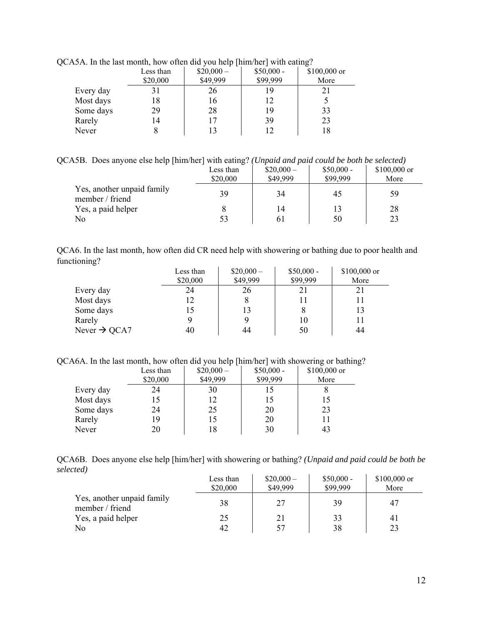|           | $\mathcal{L}$ . In the last month, now onen and you neip finite net with earing. |            |             |              |
|-----------|----------------------------------------------------------------------------------|------------|-------------|--------------|
|           | Less than                                                                        | $$20,000-$ | $$50,000 -$ | \$100,000 or |
|           | \$20,000                                                                         | \$49,999   | \$99,999    | More         |
| Every day | 31                                                                               | 26         | 19          |              |
| Most days | 18                                                                               | 16         | 12          |              |
| Some days | 29                                                                               | 28         | 19          | 33           |
| Rarely    | 14                                                                               |            | 39          | 23           |
| Never     |                                                                                  |            | 12          | 18           |
|           |                                                                                  |            |             |              |

QCA5A. In the last month, how often did you help [him/her] with eating?

QCA5B. Does anyone else help [him/her] with eating? *(Unpaid and paid could be both be selected)*

|                                               | Less than<br>\$20,000 | $$20,000-$<br>\$49,999 | $$50,000 -$<br>\$99,999 | $$100,000$ or<br>More |
|-----------------------------------------------|-----------------------|------------------------|-------------------------|-----------------------|
| Yes, another unpaid family<br>member / friend | 39                    | 34                     | 45                      | 59                    |
| Yes, a paid helper                            |                       | 14                     |                         | 28                    |
| N <sub>0</sub>                                | 53                    | 61                     | 50                      | 23                    |

| QCA6. In the last month, how often did CR need help with showering or bathing due to poor health and |  |  |  |
|------------------------------------------------------------------------------------------------------|--|--|--|
| functioning?                                                                                         |  |  |  |

|                          | Less than<br>\$20,000 | $$20,000-$<br>\$49,999 | $$50,000 -$<br>\$99,999 | $$100,000$ or<br>More |
|--------------------------|-----------------------|------------------------|-------------------------|-----------------------|
| Every day                | 24                    | 26                     | 21                      | 21                    |
| Most days                | 12                    |                        | 11                      |                       |
| Some days                | 15                    | 13                     |                         | 13                    |
| Rarely                   |                       |                        | 10                      |                       |
| Never $\rightarrow$ QCA7 | 40                    | 44                     | 50                      | 44                    |

QCA6A. In the last month, how often did you help [him/her] with showering or bathing?

|           | Less than | $$20,000-$ | $$50,000 -$ | \$100,000 or |
|-----------|-----------|------------|-------------|--------------|
|           | \$20,000  | \$49,999   | \$99,999    | More         |
| Every day | 24        | 30         | 15          |              |
| Most days |           | 12         | 15          |              |
| Some days | 24        | 25         | 20          | 23           |
| Rarely    | 19        | 15         | 20          |              |
| Never     | 20        | 18         | 30          | 43           |

QCA6B. Does anyone else help [him/her] with showering or bathing? *(Unpaid and paid could be both be selected)*

|                                               | Less than<br>\$20,000 | $$20,000-$<br>\$49,999 | $$50,000 -$<br>\$99,999 | $$100,000$ or<br>More |
|-----------------------------------------------|-----------------------|------------------------|-------------------------|-----------------------|
| Yes, another unpaid family<br>member / friend | 38                    | 27                     | 39                      | 47                    |
| Yes, a paid helper                            | 25                    | 21                     | 33                      | 4ì                    |
| No                                            | 42                    | 57                     | 38                      | 23                    |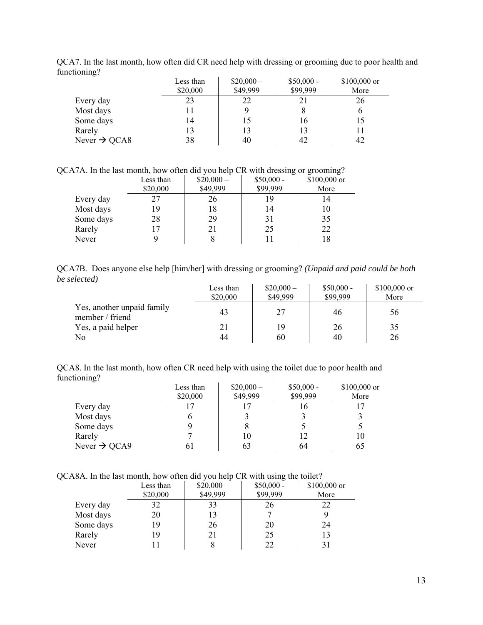| $\circ$                  | Less than<br>\$20,000 | $$20,000-$<br>\$49,999 | $$50,000 -$<br>\$99,999 | \$100,000 or<br>More |
|--------------------------|-----------------------|------------------------|-------------------------|----------------------|
| Every day                | 23                    | 22                     | 21                      | 26                   |
| Most days                | 11                    |                        | 8                       |                      |
| Some days                | 14                    | 15                     | 16                      | 15                   |
| Rarely                   | 13                    | 13                     | 13                      |                      |
| Never $\rightarrow$ QCA8 | 38                    | 40                     | 42                      | 42                   |

QCA7. In the last month, how often did CR need help with dressing or grooming due to poor health and functioning?

QCA7A. In the last month, how often did you help CR with dressing or grooming?

|           | Less than | $$20,000-$ | $$50,000 -$ | \$100,000 or |
|-----------|-----------|------------|-------------|--------------|
|           | \$20,000  | \$49,999   | \$99,999    | More         |
| Every day | 27        | 26         | 19          | 14           |
| Most days | 19        | 18         | 14          | 10           |
| Some days | 28        | 29         | 31          | 35           |
| Rarely    |           | 21         | 25          | 22           |
| Never     |           |            |             | 18           |

QCA7B. Does anyone else help [him/her] with dressing or grooming? *(Unpaid and paid could be both be selected)*

|                                               | Less than<br>\$20,000 | $$20,000-$<br>\$49,999 | $$50,000 -$<br>\$99,999 | $$100,000$ or<br>More |
|-----------------------------------------------|-----------------------|------------------------|-------------------------|-----------------------|
| Yes, another unpaid family<br>member / friend | 43                    | 27                     | 46                      | 56                    |
| Yes, a paid helper                            | 21                    | 19                     | 26                      | 35                    |
| N <sub>0</sub>                                | 44                    | 60                     | 40                      | 26                    |

QCA8. In the last month, how often CR need help with using the toilet due to poor health and functioning?

|                          | Less than | $$20,000-$ | $$50,000 -$ | $$100,000$ or |
|--------------------------|-----------|------------|-------------|---------------|
|                          | \$20,000  | \$49,999   | \$99,999    | More          |
| Every day                | 17        |            | 16          |               |
| Most days                |           |            |             |               |
| Some days                |           |            |             |               |
| Rarely                   |           | 10         | 12          | 10            |
| Never $\rightarrow$ QCA9 |           | 63         | 64          | 65            |

QCA8A. In the last month, how often did you help CR with using the toilet?

|           | Less than | $$20,000-$ | ັ<br>$$50,000 -$<br>\$99,999 | \$100,000 or |
|-----------|-----------|------------|------------------------------|--------------|
|           | \$20,000  | \$49,999   |                              | More         |
| Every day | 32        | 33         | 26                           | 22           |
| Most days | 20        | 13         |                              |              |
| Some days | 19        | 26         | 20                           | 24           |
| Rarely    | 19        | 21         | 25                           | 13           |
| Never     |           |            | 22                           | 31           |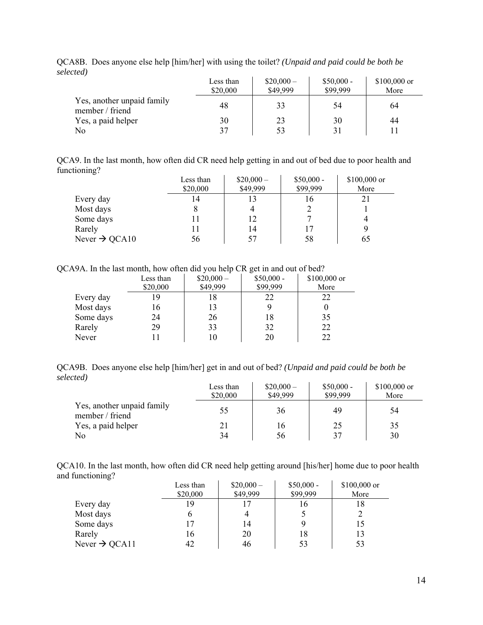|                                               | Less than<br>\$20,000 | $$20,000-$<br>\$49,999 | $$50,000 -$<br>\$99,999 | $$100,000$ or<br>More |
|-----------------------------------------------|-----------------------|------------------------|-------------------------|-----------------------|
| Yes, another unpaid family<br>member / friend | 48                    | 33                     | 54                      | 64                    |
| Yes, a paid helper                            | 30                    | 23                     | 30                      | 44                    |
| No                                            | 37                    | 53                     | 31                      |                       |

QCA8B. Does anyone else help [him/her] with using the toilet? *(Unpaid and paid could be both be selected)*

QCA9. In the last month, how often did CR need help getting in and out of bed due to poor health and functioning?

|                           | Less than<br>\$20,000 | $$20,000-$<br>\$49,999 | $$50,000 -$<br>\$99,999 | \$100,000 or<br>More |
|---------------------------|-----------------------|------------------------|-------------------------|----------------------|
| Every day                 | 14                    | 13                     | 16                      | 21                   |
| Most days                 |                       |                        |                         |                      |
| Some days                 |                       | 12                     |                         |                      |
| Rarely                    |                       | 14                     |                         |                      |
| Never $\rightarrow$ QCA10 | 56                    | 57                     | 58                      | 65                   |

QCA9A. In the last month, how often did you help CR get in and out of bed?

|           | Less than<br>\$20,000 | . .<br>$$20,000-$<br>\$49,999 | $$50,000 -$<br>\$99,999 | \$100,000 or<br>More |
|-----------|-----------------------|-------------------------------|-------------------------|----------------------|
|           |                       |                               |                         |                      |
| Every day | 19                    | 18                            | 22                      | 22                   |
| Most days | 16                    | 13                            |                         |                      |
| Some days | 24                    | 26                            | 18                      | 35                   |
| Rarely    | 29                    | 33                            | 32                      | 22                   |
| Never     |                       | 10                            | 20                      | 22                   |

QCA9B. Does anyone else help [him/her] get in and out of bed? *(Unpaid and paid could be both be selected)*

|                                               | Less than<br>\$20,000 | $$20,000-$<br>\$49,999 | $$50,000 -$<br>\$99,999 | $$100,000$ or<br>More |
|-----------------------------------------------|-----------------------|------------------------|-------------------------|-----------------------|
| Yes, another unpaid family<br>member / friend | 55                    | 36                     | 49                      | 54                    |
| Yes, a paid helper                            | 21                    | 16                     | 25                      | 35                    |
| No                                            | 34                    | 56                     | 37                      | 30                    |

QCA10. In the last month, how often did CR need help getting around [his/her] home due to poor health and functioning?

|                           | Less than | $$20,000-$ | $$50,000 -$ | \$100,000 or |
|---------------------------|-----------|------------|-------------|--------------|
|                           | \$20,000  | \$49,999   | \$99,999    | More         |
| Every day                 | 19        |            | 16          |              |
| Most days                 |           |            |             |              |
| Some days                 |           | 14         |             |              |
| Rarely                    | 16        | 20         | 18          |              |
| Never $\rightarrow$ QCA11 |           | 46         | 53          | 53           |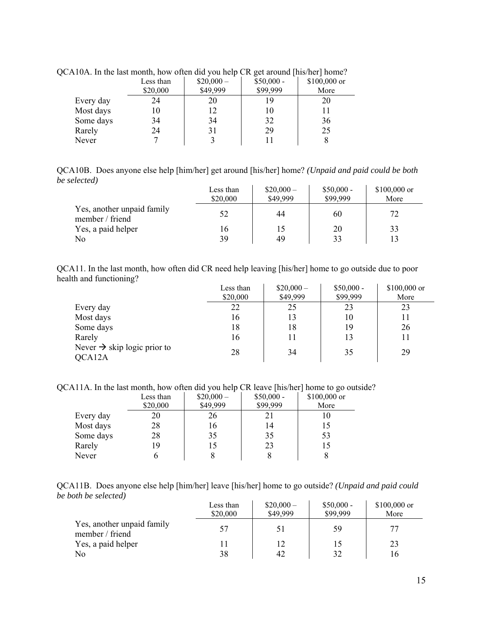| $\sim$ and $\sim$ 10 means though, how onen and you help can get around fins near home. |            |                             |      |  |  |
|-----------------------------------------------------------------------------------------|------------|-----------------------------|------|--|--|
| Less than                                                                               | $$20,000-$ | $$50,000 -$<br>\$100,000 or |      |  |  |
| \$20,000                                                                                | \$49,999   | \$99,999                    | More |  |  |
| 24                                                                                      | 20         |                             | 20   |  |  |
| 10                                                                                      | 12         |                             |      |  |  |
| 34                                                                                      | 34         | 32                          | 36   |  |  |
| 24                                                                                      | 31         | 29                          | 25   |  |  |
|                                                                                         |            |                             |      |  |  |
|                                                                                         |            |                             |      |  |  |

QCA10A. In the last month, how often did you help CR get around [his/her] home?

QCA10B. Does anyone else help [him/her] get around [his/her] home? *(Unpaid and paid could be both be selected)*

|                                               | Less than<br>\$20,000 | $$20,000-$<br>\$49,999 | $$50,000 -$<br>\$99,999 | $$100,000$ or<br>More |
|-----------------------------------------------|-----------------------|------------------------|-------------------------|-----------------------|
| Yes, another unpaid family<br>member / friend | 52                    | 44                     | 60                      | 72                    |
| Yes, a paid helper                            | 16                    | 15                     | 20                      | 33                    |
| No                                            | 39                    | 49                     | 33                      |                       |

QCA11. In the last month, how often did CR need help leaving [his/her] home to go outside due to poor health and functioning?

|                                                   | Less than<br>\$20,000 | $$20,000-$<br>\$49,999 | $$50,000 -$<br>\$99,999 | $$100,000$ or<br>More |
|---------------------------------------------------|-----------------------|------------------------|-------------------------|-----------------------|
| Every day                                         | 22                    | 25                     | 23                      | 23                    |
| Most days                                         | 16                    | 13                     | 10                      | 11                    |
| Some days                                         | 18                    | 18                     | 19                      | 26                    |
| Rarely                                            | 16                    | 11                     | 13                      |                       |
| Never $\rightarrow$ skip logic prior to<br>QCA12A | 28                    | 34                     | 35                      | 29                    |

QCA11A. In the last month, how often did you help CR leave [his/her] home to go outside?

|           | Less than | $$20,000-$ | $$50,000 -$ | \$100,000 or |
|-----------|-----------|------------|-------------|--------------|
|           | \$20,000  | \$49,999   | \$99,999    | More         |
| Every day | 20        | 26         | 21          | 10           |
| Most days | 28        | 16         | 14          | 15           |
| Some days | 28        | 35         | 35          | 53           |
| Rarely    | 19        | 15         | 23          | 15           |
| Never     |           |            |             |              |

|                      | QCA11B. Does anyone else help [him/her] leave [his/her] home to go outside? (Unpaid and paid could |  |  |  |
|----------------------|----------------------------------------------------------------------------------------------------|--|--|--|
| be both be selected) |                                                                                                    |  |  |  |

|                                               | Less than<br>\$20,000 | $$20,000-$<br>\$49,999 | $$50,000 -$<br>\$99,999 | $$100,000$ or<br>More |
|-----------------------------------------------|-----------------------|------------------------|-------------------------|-----------------------|
| Yes, another unpaid family<br>member / friend | 57                    | 51                     | 59                      |                       |
| Yes, a paid helper                            |                       | 12                     |                         | 23                    |
| No                                            | 38                    | 42                     | 32                      | 16                    |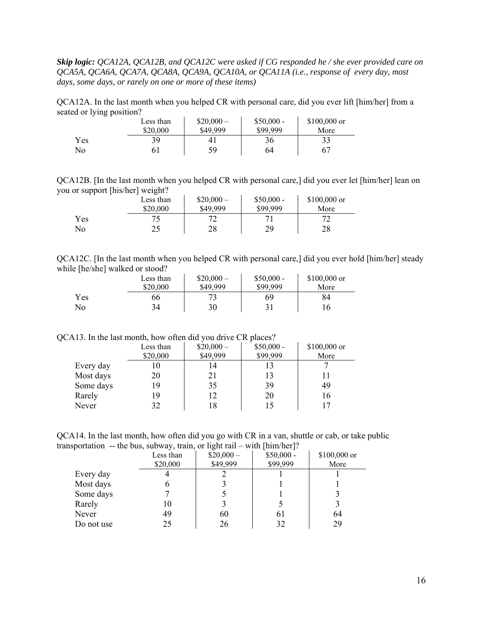*Skip logic: QCA12A, QCA12B, and QCA12C were asked if CG responded he / she ever provided care on QCA5A, QCA6A, QCA7A, QCA8A, QCA9A, QCA10A, or QCA11A (i.e., response of every day, most days, some days, or rarely on one or more of these items)* 

QCA12A. In the last month when you helped CR with personal care, did you ever lift [him/her] from a seated or lying position?  $\sim 10^{-1}$  $\mathcal{L}_{\rm{max}}$  $\mathcal{L}_{\mathcal{A}}$ 

|            | Less than | $$20,000-$ | $$50,000 -$ | $$100,000$ or |
|------------|-----------|------------|-------------|---------------|
|            | \$20,000  | \$49,999   | \$99,999    | More          |
| <b>Yes</b> | 39        | 4          | 36          |               |
| No         |           | 59         | 64          | 67            |

QCA12B. [In the last month when you helped CR with personal care,] did you ever let [him/her] lean on you or support [his/her] weight?

|     | Less than | $$20,000-$ | $$50,000 -$ | $$100,000$ or |
|-----|-----------|------------|-------------|---------------|
|     | \$20,000  | \$49,999   | \$99.999    | More          |
| Yes |           |            |             |               |
| No  |           | 28         | 29          | 28            |

QCA12C. [In the last month when you helped CR with personal care,] did you ever hold [him/her] steady while [he/she] walked or stood? \$20,000 –

|     | Less than | $$20,000-$ | $$50,000 -$ | $$100,000$ or |
|-----|-----------|------------|-------------|---------------|
|     | \$20,000  | \$49,999   | \$99.999    | More          |
| Yes | 66        |            | 69          | 84            |
| No  | 34        | 30         | 31          | 16            |

#### QCA13. In the last month, how often did you drive CR places?

|           | Less than | $$20,000-$ | $$50,000 -$ | \$100,000 or |
|-----------|-----------|------------|-------------|--------------|
|           | \$20,000  | \$49,999   | \$99,999    | More         |
| Every day | 10        | 14         | 13          |              |
| Most days | 20        | 21         | 13          |              |
| Some days | 19        | 35         | 39          | 49           |
| Rarely    | 19        | 12         | 20          | 16           |
| Never     | 32        | 18         | 15          |              |

QCA14. In the last month, how often did you go with CR in a van, shuttle or cab, or take public transportation -- the bus, subway, train, or light rail – with [him/her]?

|            | Less than | $$20,000-$ | $$50,000 -$ | \$100,000 or |
|------------|-----------|------------|-------------|--------------|
|            | \$20,000  | \$49,999   | \$99,999    | More         |
| Every day  |           |            |             |              |
| Most days  |           |            |             |              |
| Some days  |           |            |             |              |
| Rarely     | 10        |            |             |              |
| Never      | 49        | 60         | 6 I         | 64           |
| Do not use | 25        | 26         | 32          | 29           |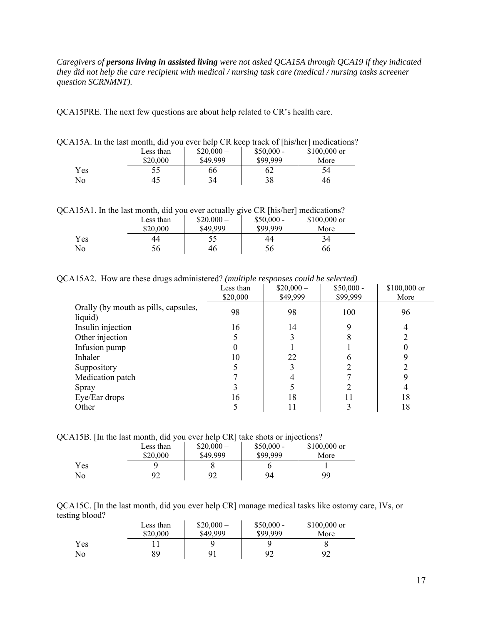*Caregivers of persons living in assisted living were not asked QCA15A through QCA19 if they indicated they did not help the care recipient with medical / nursing task care (medical / nursing tasks screener question SCRNMNT).* 

QCA15PRE. The next few questions are about help related to CR's health care.

|                |           |            |             | $\Lambda$ 15A. In the fast month, did you ever help CR keep track of $\Lambda$ ins/here medications |
|----------------|-----------|------------|-------------|-----------------------------------------------------------------------------------------------------|
|                | Less than | $$20,000-$ | $$50,000 -$ | $$100,000$ or                                                                                       |
|                | \$20,000  | \$49,999   | \$99,999    | More                                                                                                |
| Yes            | 55        | 66         | 62          | 54                                                                                                  |
| N <sub>0</sub> |           | 34         | 38          | 46                                                                                                  |

QCA15A. In the last month, did you ever help CR keep track of [his/her] medications?

QCA15A1. In the last month, did you ever actually give CR [his/her] medications?

|     | Less than<br>\$20,000 | ຼ<br>$$20,000-$<br>\$49,999 | $$50,000 -$<br>\$99,999 | $$100,000$ or<br>More |
|-----|-----------------------|-----------------------------|-------------------------|-----------------------|
| Yes | 44                    | СC                          | 44                      | 34                    |
| No  | 56                    | 46                          | 56                      | 66                    |

QCA15A2. How are these drugs administered? *(multiple responses could be selected)* 

| Less than<br>\$20,000 | $$20,000-$<br>\$49,999 | $$50,000 -$<br>\$99,999 | \$100,000 or<br>More |
|-----------------------|------------------------|-------------------------|----------------------|
| 98                    | 98                     | 100                     | 96                   |
| 16                    | 14                     | Q                       | 4                    |
|                       |                        | 8                       |                      |
| 0                     |                        |                         |                      |
| 10                    | 22                     |                         |                      |
|                       |                        |                         |                      |
|                       |                        |                         |                      |
|                       |                        |                         |                      |
| 16                    | 18                     | 11                      | 18                   |
| 5                     | 11                     | 3                       | 18                   |
|                       |                        |                         |                      |

QCA15B. [In the last month, did you ever help CR] take shots or injections?

|     | Less than | $$20,000-$ | $$50,000 -$ | $$100,000$ or |
|-----|-----------|------------|-------------|---------------|
|     | \$20,000  | \$49,999   | \$99,999    | More          |
| Yes |           |            |             |               |
| No  | 92        | 92         | 94          | 99            |

QCA15C. [In the last month, did you ever help CR] manage medical tasks like ostomy care, IVs, or testing blood?

|     | Less than<br>\$20,000 | $$20,000-$<br>\$49,999 | $$50,000 -$<br>\$99,999 | $$100,000$ or<br>More |
|-----|-----------------------|------------------------|-------------------------|-----------------------|
| Yes |                       |                        |                         |                       |
| No  | 89                    | 91                     | 92                      | 92                    |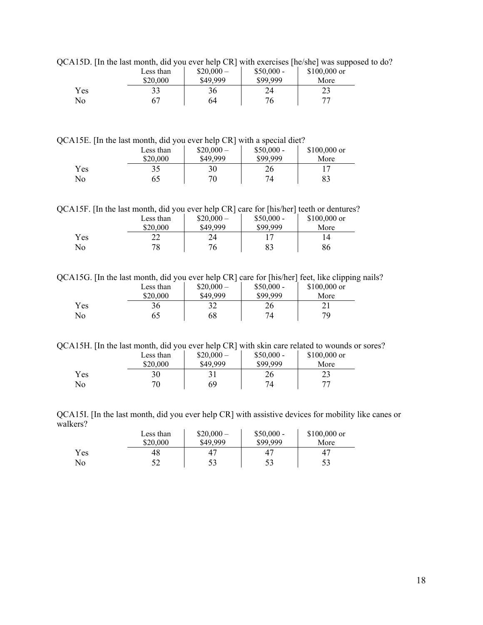|     | Less than | $$20,000-$ | $$50,000 -$ | $$100,000$ or |
|-----|-----------|------------|-------------|---------------|
|     | \$20,000  | \$49,999   | \$99.999    | More          |
| Yes |           | 36         | 24          |               |
| No  |           | 64         |             |               |

QCA15D. [In the last month, did you ever help CR] with exercises [he/she] was supposed to do?

QCA15E. [In the last month, did you ever help CR] with a special diet?

|     | Less than<br>\$20,000 | л.<br>$$20,000-$<br>\$49,999 | $$50,000 -$<br>\$99.999 | $$100,000$ or<br>More |
|-----|-----------------------|------------------------------|-------------------------|-----------------------|
| Yes |                       | 30                           | 26                      |                       |
| No  |                       | 70                           | 74                      |                       |

QCA15F. [In the last month, did you ever help CR] care for [his/her] teeth or dentures?

|            | Less than<br>\$20,000 | $$20,000-$<br>\$49,999 | $$50,000 -$<br>\$99.999 | $$100,000$ or<br>More |
|------------|-----------------------|------------------------|-------------------------|-----------------------|
| <b>Yes</b> | ∩∩                    | 24                     |                         |                       |
| No         | 78                    | 76                     | 83                      | 86                    |

QCA15G. [In the last month, did you ever help CR] care for [his/her] feet, like clipping nails?

|     | Less than<br>\$20,000 | $$20,000-$<br>\$49,999 | $$50,000 -$<br>\$99.999 | \$100,000 or<br>More |
|-----|-----------------------|------------------------|-------------------------|----------------------|
| Yes | 36                    |                        | 26                      |                      |
| No  | 65                    | 68                     | 74.                     | 79                   |

QCA15H. [In the last month, did you ever help CR] with skin care related to wounds or sores?

|     | Less than | $$20,000-$ | $$50,000 -$ | $$100,000$ or |
|-----|-----------|------------|-------------|---------------|
|     | \$20,000  | \$49,999   | \$99.999    | More          |
| Yes | 30        |            | 26          | າາ<br>ر ے     |
| No  |           | 69         | 74          | 77            |

QCA15I. [In the last month, did you ever help CR] with assistive devices for mobility like canes or walkers?  $\hat{\mathbf{r}}$  $\mathbf{r}$  $\bar{1}$ 

|     | Less than | $$20,000-$ | $$50,000 -$ | $$100,000$ or |
|-----|-----------|------------|-------------|---------------|
|     | \$20,000  | \$49,999   | \$99,999    | More          |
| Yes | 48        | 47         | 47          | 47            |
| No  | ے ر       | 53         | 53          | 53            |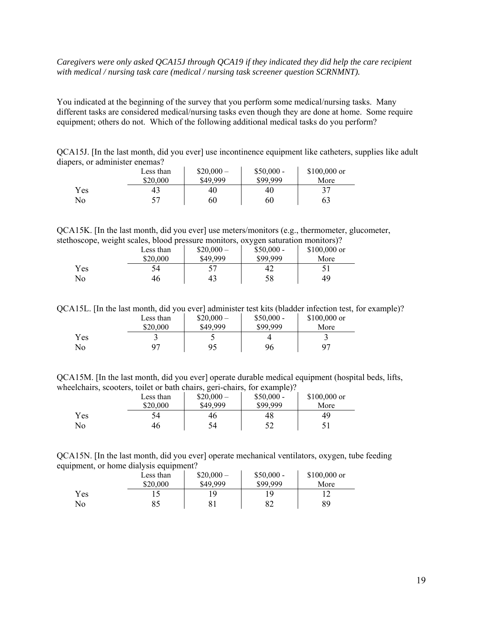### *Caregivers were only asked QCA15J through QCA19 if they indicated they did help the care recipient with medical / nursing task care (medical / nursing task screener question SCRNMNT).*

You indicated at the beginning of the survey that you perform some medical/nursing tasks. Many different tasks are considered medical/nursing tasks even though they are done at home. Some require equipment; others do not. Which of the following additional medical tasks do you perform?

QCA15J. [In the last month, did you ever] use incontinence equipment like catheters, supplies like adult diapers, or administer enemas?

|     | Less than<br>\$20,000 | $$20,000-$<br>\$49,999 | $$50,000 -$<br>\$99,999 | $$100,000$ or<br>More |
|-----|-----------------------|------------------------|-------------------------|-----------------------|
| Yes | 43                    | 40                     | 40                      | 37                    |
| No  | 57                    | 60                     | 60                      | 63                    |

QCA15K. [In the last month, did you ever] use meters/monitors (e.g., thermometer, glucometer, stethoscope, weight scales, blood pressure monitors, oxygen saturation monitors)?

| __  | Less than<br>\$20,000 | $$20,000-$<br>\$49.999 | $$50,000 -$<br>\$99.999 | $$100,000$ or<br>More |
|-----|-----------------------|------------------------|-------------------------|-----------------------|
| Yes | 54                    |                        | 42                      |                       |
| No  | 46                    | 43                     | 58                      | 49                    |

QCA15L. [In the last month, did you ever] administer test kits (bladder infection test, for example)?

|     | Less than | $$20,000-$ | $$50,000 -$ | $$100,000$ or  |
|-----|-----------|------------|-------------|----------------|
|     | \$20,000  | \$49,999   | \$99,999    | More           |
| Yes |           | ت          |             |                |
| No  | 07        | 95         | 96          | Q <sub>7</sub> |

QCA15M. [In the last month, did you ever] operate durable medical equipment (hospital beds, lifts, wheelchairs, scooters, toilet or bath chairs, geri-chairs, for example)?

|     | Less than<br>\$20,000 | $$20,000-$<br>\$49,999 | $$50,000 -$<br>\$99.999 | $$100,000$ or<br>More |
|-----|-----------------------|------------------------|-------------------------|-----------------------|
| Yes | 54                    | 46                     | 48                      | 49                    |
| No  | 46                    | 54                     |                         |                       |

QCA15N. [In the last month, did you ever] operate mechanical ventilators, oxygen, tube feeding equipment, or home dialysis equipment?

|     | Less than | $$20,000-$ | $$50,000 -$ | $$100,000$ or |
|-----|-----------|------------|-------------|---------------|
|     | \$20,000  | \$49,999   | \$99,999    | More          |
| Yes |           | ١q         | ١q          |               |
| No  | 85        | O.<br>ΟI   | 82          | 89            |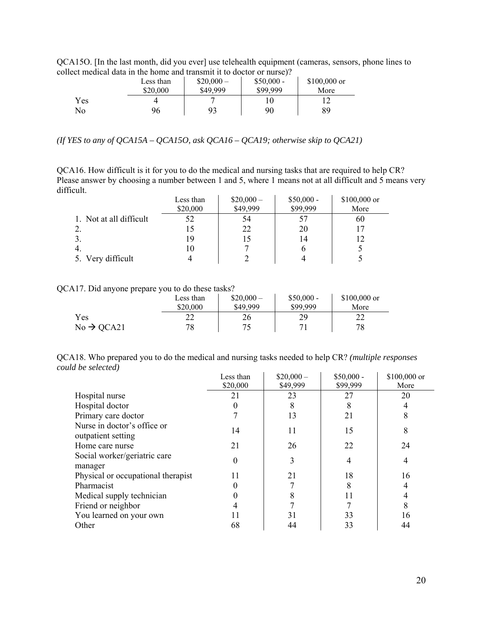QCA15O. [In the last month, did you ever] use telehealth equipment (cameras, sensors, phone lines to collect medical data in the home and transmit it to doctor or nurse)?

|     | Less than | $$20,000-$ | $$50,000 -$ | $$100,000$ or |
|-----|-----------|------------|-------------|---------------|
|     | \$20,000  | \$49,999   | \$99,999    | More          |
| Yes |           |            | 10          |               |
| No  | 96        | 93         | 90          | 89            |

*(If YES to any of QCA15A – QCA15O, ask QCA16 – QCA19; otherwise skip to QCA21)* 

QCA16. How difficult is it for you to do the medical and nursing tasks that are required to help CR? Please answer by choosing a number between 1 and 5, where 1 means not at all difficult and 5 means very difficult.

|                         | Less than | $$20,000-$ | $$50,000 -$ | $$100,000$ or |
|-------------------------|-----------|------------|-------------|---------------|
|                         | \$20,000  | \$49,999   | \$99,999    | More          |
| 1. Not at all difficult | 52        | 54         | 57          | 60            |
|                         |           | 22         | 20          |               |
|                         |           | 15         | 14          | 12            |
| -4.                     |           |            | O           |               |
| 5. Very difficult       |           |            |             |               |

QCA17. Did anyone prepare you to do these tasks?

|                        | Less than<br>\$20,000 | $$20,000-$<br>\$49,999 | $$50,000 -$<br>\$99,999 | $$100,000$ or<br>More |
|------------------------|-----------------------|------------------------|-------------------------|-----------------------|
| <b>Yes</b>             | ∠∠                    | 26                     | 29                      | າາ<br>∠∠              |
| $No \rightarrow QCA21$ | 78                    | 75                     | 71                      | 78                    |

QCA18. Who prepared you to do the medical and nursing tasks needed to help CR? *(multiple responses could be selected)*   $\mathbf{r}$ ц.

|                                                   | Less than | $$20,000-$ | $$50,000 -$ | \$100,000 or |
|---------------------------------------------------|-----------|------------|-------------|--------------|
|                                                   | \$20,000  | \$49,999   | \$99,999    | More         |
| Hospital nurse                                    | 21        | 23         | 27          | 20           |
| Hospital doctor                                   |           | 8          | 8           |              |
| Primary care doctor                               |           | 13         | 21          |              |
| Nurse in doctor's office or<br>outpatient setting | 14        | 11         | 15          | 8            |
| Home care nurse                                   | 21        | 26         | 22          | 24           |
| Social worker/geriatric care<br>manager           | 0         | 3          | 4           |              |
| Physical or occupational therapist                | 11        | 21         | 18          | 16           |
| Pharmacist                                        |           |            | 8           |              |
| Medical supply technician                         |           |            |             |              |
| Friend or neighbor                                |           |            |             |              |
| You learned on your own                           | 11        | 31         | 33          | 16           |
| Other                                             | 68        | 44         | 33          | 44           |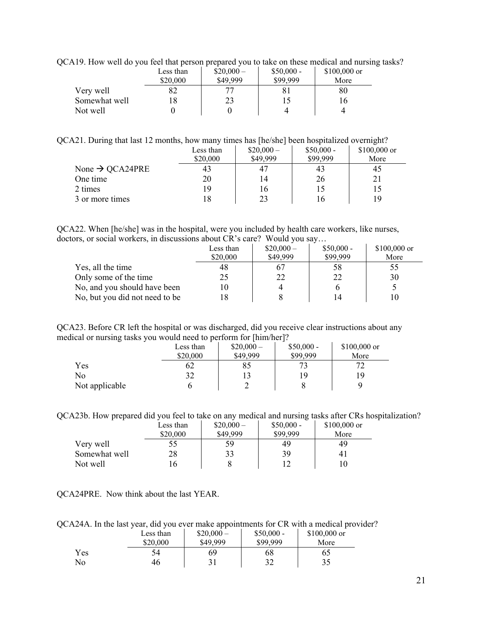| $\Delta$ 17. Trow wen do you feel that person prepared you to take on these medical and huising |           |            |             |               |
|-------------------------------------------------------------------------------------------------|-----------|------------|-------------|---------------|
|                                                                                                 | Less than | $$20,000-$ | $$50,000 -$ | $$100,000$ or |
|                                                                                                 | \$20,000  | \$49,999   | \$99,999    | More          |
| Very well                                                                                       |           |            |             | 80            |
| Somewhat well                                                                                   |           | 23         |             |               |
| Not well                                                                                        |           |            |             |               |
|                                                                                                 |           |            |             |               |

QCA19. How well do you feel that person prepared you to take on these medical and nursing tasks?

### QCA21. During that last 12 months, how many times has [he/she] been hospitalized overnight?

|                             | Less than | $$20,000-$ | $$50,000 -$ | \$100,000 or |
|-----------------------------|-----------|------------|-------------|--------------|
|                             | \$20,000  | \$49,999   | \$99,999    | More         |
| None $\rightarrow$ QCA24PRE | 43        | 47         | 43          | 45           |
| One time                    | 20        | 14         | 26          | 21           |
| 2 times                     | 19        | 16         |             |              |
| 3 or more times             |           | 23         | I6          | 19           |

QCA22. When [he/she] was in the hospital, were you included by health care workers, like nurses, doctors, or social workers, in discussions about CR's care? Would you say…

|                                | Less than<br>\$20,000 | $$20,000-$<br>\$49,999 | $$50,000 -$<br>\$99,999 | $$100,000$ or<br>More |
|--------------------------------|-----------------------|------------------------|-------------------------|-----------------------|
| Yes, all the time              | 48                    | 67                     | 58                      |                       |
| Only some of the time          | 25                    | 22                     | 22                      | 30                    |
| No, and you should have been   |                       |                        |                         |                       |
| No, but you did not need to be |                       |                        | 14                      |                       |

QCA23. Before CR left the hospital or was discharged, did you receive clear instructions about any medical or nursing tasks you would need to perform for [him/her]?

|                | Less than | $$20,000-$ | $$50,000 -$ | $$100,000$ or |
|----------------|-----------|------------|-------------|---------------|
|                | \$20,000  | \$49,999   | \$99,999    | More          |
| Yes            | 62        | 85         |             |               |
| No             | 32        |            | 19          | 19            |
| Not applicable |           |            |             | a             |

QCA23b. How prepared did you feel to take on any medical and nursing tasks after CRs hospitalization?

|               | Less than | $$20,000-$ | $$50,000 -$ | $$100,000$ or |
|---------------|-----------|------------|-------------|---------------|
|               | \$20,000  | \$49,999   | \$99,999    | More          |
| Very well     | 55        | 59         | 49          | 49            |
| Somewhat well | 28        | 33         | 39          |               |
| Not well      | 16        |            |             |               |

QCA24PRE. Now think about the last YEAR.

QCA24A. In the last year, did you ever make appointments for CR with a medical provider?

|     | Less than | $$20,000-$ | $$50,000 -$ | $$100,000$ or |
|-----|-----------|------------|-------------|---------------|
|     | \$20,000  | \$49,999   | \$99,999    | More          |
| Yes | 54        | 69         | 68          | 65            |
| No  | 46        |            | 20<br>ے ر   | 35            |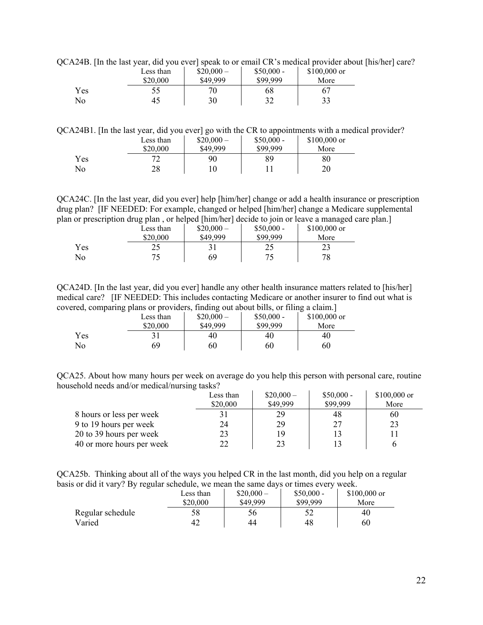QCA24B. [In the last year, did you ever] speak to or email CR's medical provider about [his/her] care?

| <b>.</b> | Less than<br>\$20,000 | $$20,000-$<br>\$49,999 | $$50,000 -$<br>\$99,999 | $$100,000$ or<br>More |
|----------|-----------------------|------------------------|-------------------------|-----------------------|
| Yes      |                       | 70                     | 68                      |                       |
| No       | 45                    | 30                     | ے د                     | 33                    |

QCA24B1. [In the last year, did you ever] go with the CR to appointments with a medical provider?

|     | Less than | $$20,000-$ | $$50,000 -$ | $$100,000$ or |
|-----|-----------|------------|-------------|---------------|
|     | \$20,000  | \$49,999   | \$99.999    | More          |
| Yes | רר        | 90         | 89          | 80            |
| No  | 28        |            |             | 20            |

QCA24C. [In the last year, did you ever] help [him/her] change or add a health insurance or prescription drug plan? [IF NEEDED: For example, changed or helped [him/her] change a Medicare supplemental plan or prescription drug plan , or helped [him/her] decide to join or leave a managed care plan.]

|     |           | or presemption and plan, or helped finitiated to follow them is named in managed. |             |               |
|-----|-----------|-----------------------------------------------------------------------------------|-------------|---------------|
|     | Less than | $$20,000-$                                                                        | $$50,000 -$ | $$100,000$ or |
|     | \$20,000  | \$49,999                                                                          | \$99,999    | More          |
| Yes |           |                                                                                   | 25          |               |
| No  |           | 69                                                                                |             | 78            |

QCA24D. [In the last year, did you ever] handle any other health insurance matters related to [his/her] medical care? [IF NEEDED: This includes contacting Medicare or another insurer to find out what is covered, comparing plans or providers, finding out about bills, or filing a claim.]

|     | Less than | $$20,000-$ | $$50,000 -$ | \$100,000 or |
|-----|-----------|------------|-------------|--------------|
|     | \$20,000  | \$49,999   | \$99,999    | More         |
| Yes |           | 40         | 40          | 40           |
| No  | 69        | 60         | 60          | 60           |

QCA25. About how many hours per week on average do you help this person with personal care, routine household needs and/or medical/nursing tasks?

|                           | Less than | $$20,000-$ | $$50,000 -$ | $$100,000$ or |
|---------------------------|-----------|------------|-------------|---------------|
|                           | \$20,000  | \$49,999   | \$99,999    | More          |
| 8 hours or less per week  |           | 29         | 48          | 60            |
| 9 to 19 hours per week    | 24        | 29         | 27          | 23            |
| 20 to 39 hours per week   | 23        | 19         |             |               |
| 40 or more hours per week | つつ        | 23         |             |               |

QCA25b. Thinking about all of the ways you helped CR in the last month, did you help on a regular basis or did it vary? By regular schedule, we mean the same days or times every week.

| $\circ$          | Less than<br>\$20,000 | $$20,000-$<br>\$49,999 | $$50,000 -$<br>\$99.999 | $$100,000$ or<br>More |
|------------------|-----------------------|------------------------|-------------------------|-----------------------|
| Regular schedule | 58                    | 56                     |                         | 40                    |
| Varied           | 42                    | 44                     | 48                      | 60                    |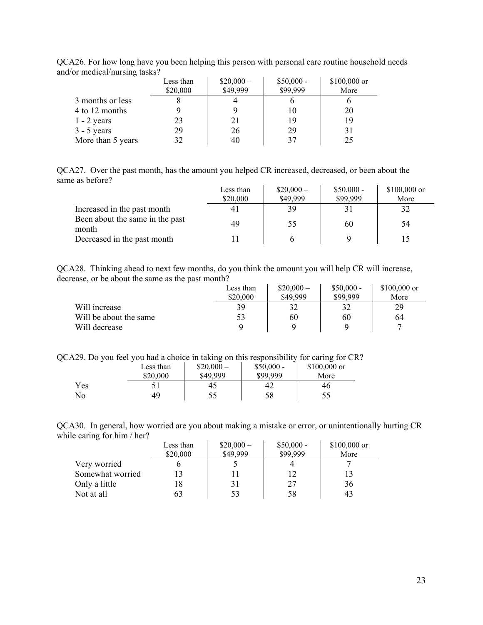|                   | Less than | $$20,000-$ | $$50,000 -$ | $$100,000$ or |
|-------------------|-----------|------------|-------------|---------------|
|                   | \$20,000  | \$49,999   | \$99,999    | More          |
| 3 months or less  |           |            |             |               |
| 4 to 12 months    |           |            | 10          | 20            |
| $1 - 2$ years     | 23        | 21         | 19          | 19            |
| $3 - 5$ years     | 29        | 26         | 29          | 31            |
| More than 5 years | 32        | 40         | 37          | 25            |

QCA26. For how long have you been helping this person with personal care routine household needs and/or medical/nursing tasks?

QCA27. Over the past month, has the amount you helped CR increased, decreased, or been about the same as before?

|                                          | Less than<br>\$20,000 | $$20,000-$<br>\$49,999 | $$50,000 -$<br>\$99,999 | $$100,000$ or<br>More |
|------------------------------------------|-----------------------|------------------------|-------------------------|-----------------------|
| Increased in the past month              |                       | 39                     | 31                      |                       |
| Been about the same in the past<br>month | 49                    | 55                     | 60                      | 54                    |
| Decreased in the past month              |                       |                        |                         |                       |

QCA28. Thinking ahead to next few months, do you think the amount you will help CR will increase, decrease, or be about the same as the past month?

|                        | Less than<br>\$20,000 | $$20,000-$<br>\$49.999 | $$50,000 -$<br>\$99.999 | $$100,000$ or<br>More |
|------------------------|-----------------------|------------------------|-------------------------|-----------------------|
| Will increase          | 39                    | 32                     | 32                      | 29                    |
| Will be about the same | 53                    | 60                     | 60                      | 64                    |
| Will decrease          |                       |                        |                         |                       |

QCA29. Do you feel you had a choice in taking on this responsibility for caring for CR?

|     | Less than | $$20,000-$ | $$50,000 -$ | $$100,000$ or |
|-----|-----------|------------|-------------|---------------|
|     | \$20,000  | \$49,999   | \$99.999    | More          |
| Yes |           | 45         | 42          | 46            |
| No  | 49        | ر. ر       | 58          | 55            |

QCA30. In general, how worried are you about making a mistake or error, or unintentionally hurting CR while caring for him / her?

|                  | Less than | $$20,000-$ | $$50,000 -$ | $$100,000$ or |
|------------------|-----------|------------|-------------|---------------|
|                  | \$20,000  | \$49,999   | \$99,999    | More          |
| Very worried     |           |            |             |               |
| Somewhat worried |           |            |             |               |
| Only a little    | 18        |            | 27          | 36            |
| Not at all       | 63        | 53         | 58          |               |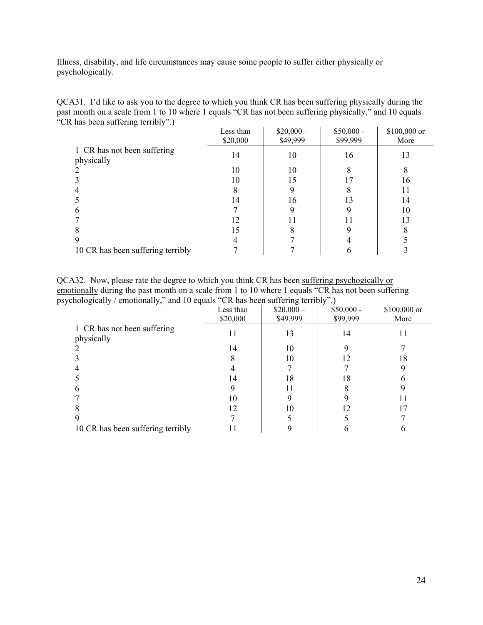Illness, disability, and life circumstances may cause some people to suffer either physically or psychologically.

| QCA31. I'd like to ask you to the degree to which you think CR has been suffering physically during the |
|---------------------------------------------------------------------------------------------------------|
| past month on a scale from 1 to 10 where 1 equals "CR has not been suffering physically," and 10 equals |
| "CR has been suffering terribly".)                                                                      |

|                                   | Less than<br>\$20,000 | $$20,000-$<br>\$49,999 | $$50,000 -$<br>\$99,999 | \$100,000 or<br>More |
|-----------------------------------|-----------------------|------------------------|-------------------------|----------------------|
| 1 CR has not been suffering       |                       |                        |                         |                      |
| physically                        | 14                    | 10                     | 16                      | 13                   |
|                                   | 10                    | 10                     |                         |                      |
|                                   | 10                    | 15                     |                         | 16                   |
|                                   |                       |                        |                         |                      |
|                                   | 14                    | 16                     | 13                      | 14                   |
| h                                 |                       |                        |                         | 10                   |
|                                   | 12                    |                        |                         | 13                   |
|                                   | 15                    |                        |                         |                      |
|                                   |                       |                        |                         |                      |
| 10 CR has been suffering terribly |                       |                        |                         |                      |

QCA32. Now, please rate the degree to which you think CR has been suffering psychogically or emotionally during the past month on a scale from 1 to 10 where 1 equals "CR has not been suffering psychologically / emotionally," and 10 equals "CR has been suffering terribly".)

| $\alpha$ . The contract of $\alpha$ and $\alpha$ equals to the mass of the surface $\alpha$ . The contract of $\alpha$ |           |            | $\cdot$ ,   |              |
|------------------------------------------------------------------------------------------------------------------------|-----------|------------|-------------|--------------|
|                                                                                                                        | Less than | $$20,000-$ | $$50,000 -$ | \$100,000 or |
|                                                                                                                        | \$20,000  | \$49,999   | \$99,999    | More         |
| 1 CR has not been suffering<br>physically                                                                              | 11        | 13         | 14          | $\mathbf{L}$ |
|                                                                                                                        | 14        | 10         |             |              |
|                                                                                                                        |           | 10         | 12          | 18           |
|                                                                                                                        |           |            |             |              |
|                                                                                                                        | 14        | 18         | 18          |              |
|                                                                                                                        |           |            |             |              |
|                                                                                                                        | 10        |            |             |              |
|                                                                                                                        | 12        | 10         | 12          |              |
|                                                                                                                        |           |            |             |              |
| 10 CR has been suffering terribly                                                                                      |           |            |             |              |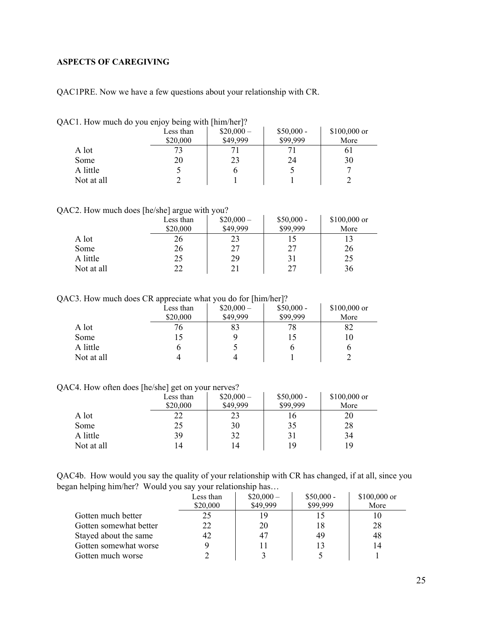# <span id="page-24-0"></span>**ASPECTS OF CAREGIVING**

QAC1PRE. Now we have a few questions about your relationship with CR.

|  |  | QAC1. How much do you enjoy being with [him/her]? |  |  |  |
|--|--|---------------------------------------------------|--|--|--|
|  |  |                                                   |  |  |  |

|            | Less than<br>\$20,000 | $$20,000-$<br>\$49,999 | $$50,000 -$<br>\$99,999 | $$100,000$ or<br>More |
|------------|-----------------------|------------------------|-------------------------|-----------------------|
| A lot      | 73                    |                        |                         | 01                    |
| Some       | 20                    | 23                     | 24                      | 30                    |
| A little   |                       | O                      |                         |                       |
| Not at all |                       |                        |                         |                       |

QAC2. How much does [he/she] argue with you?

|            | Less than | $$20,000-$ | $$50,000 -$ | $$100,000$ or |
|------------|-----------|------------|-------------|---------------|
|            | \$20,000  | \$49,999   | \$99,999    | More          |
| A lot      | 26        | 23         |             |               |
| Some       | 26        | 27         | 27          | 26            |
| A little   | 25        | 29         | 31          | 25            |
| Not at all | 22        |            | 27          | 36            |

QAC3. How much does CR appreciate what you do for [him/her]?

|            | Less than<br>\$20,000 | $$20,000-$<br>\$49,999 | $$50,000 -$<br>\$99,999 | \$100,000 or<br>More |
|------------|-----------------------|------------------------|-------------------------|----------------------|
| A lot      | 76                    | 83                     | 78                      | 82                   |
| Some       |                       |                        |                         | 10                   |
| A little   |                       |                        |                         | O                    |
| Not at all |                       |                        |                         |                      |

QAC4. How often does [he/she] get on your nerves?

|            | --<br>-<br>Less than | $$20,000-$ | $$50,000 -$ | $$100,000$ or |
|------------|----------------------|------------|-------------|---------------|
|            | \$20,000             | \$49,999   | \$99,999    | More          |
| A lot      | 22                   | 23         | 16          | 20            |
| Some       | 25                   | 30         | 35          | 28            |
| A little   | 39                   | 32         | 31          | 34            |
| Not at all | 14                   | 14         | 19          | 19            |

QAC4b. How would you say the quality of your relationship with CR has changed, if at all, since you began helping him/her? Would you say your relationship has…

|                        | Less than<br>\$20,000 | $$20,000-$<br>\$49,999 | $$50,000 -$<br>\$99,999 | $$100,000$ or<br>More |
|------------------------|-----------------------|------------------------|-------------------------|-----------------------|
| Gotten much better     | 25                    | 19                     |                         |                       |
| Gotten somewhat better | 22                    | 20                     | 18                      | 28                    |
| Stayed about the same  | 42                    | 47                     | 49                      | 48                    |
| Gotten somewhat worse  |                       |                        |                         | 14                    |
| Gotten much worse      |                       |                        |                         |                       |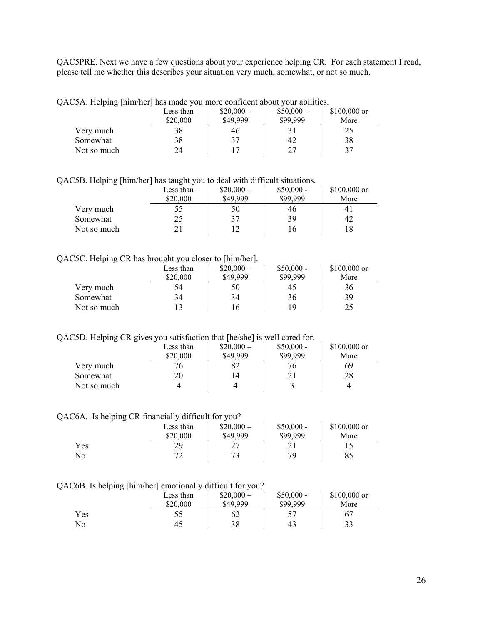QAC5PRE. Next we have a few questions about your experience helping CR. For each statement I read, please tell me whether this describes your situation very much, somewhat, or not so much.

|  | QAC5A. Helping [him/her] has made you more confident about your abilities. |  |
|--|----------------------------------------------------------------------------|--|
|  |                                                                            |  |

|             | Less than | $$20,000-$ | $$50,000 -$ | $$100,000$ or |
|-------------|-----------|------------|-------------|---------------|
|             | \$20,000  | \$49,999   | \$99,999    | More          |
| Very much   | 38        | 46         |             | 25            |
| Somewhat    | 38        |            | 42          | 38            |
| Not so much | 24        |            | 27          | 37            |

QAC5B. Helping [him/her] has taught you to deal with difficult situations.

|             | Less than<br>\$20,000 | $$20,000-$<br>\$49,999 | $$50,000 -$<br>\$99,999 | $$100,000$ or  |
|-------------|-----------------------|------------------------|-------------------------|----------------|
|             |                       |                        |                         | More           |
| Very much   | 55                    | 50                     | 46                      | 4 <sub>1</sub> |
| Somewhat    | 25                    | 37                     | 39                      | 42             |
| Not so much |                       |                        | 16                      |                |

#### QAC5C. Helping CR has brought you closer to [him/her].

|             | Less than | $$20,000-$ | $$50,000 -$ | $$100,000$ or |
|-------------|-----------|------------|-------------|---------------|
|             | \$20,000  | \$49,999   | \$99.999    | More          |
| Very much   | 54        | 50         | 45          | 36            |
| Somewhat    | 34        | 34         | 36          | 39            |
| Not so much |           | 16         | 1 Q         | 25            |

QAC5D. Helping CR gives you satisfaction that [he/she] is well cared for.

|             | Less than | $$20,000-$ | $$50,000 -$ | $$100,000$ or |
|-------------|-----------|------------|-------------|---------------|
|             | \$20,000  | \$49,999   | \$99,999    | More          |
| Very much   |           | 82         | 76          | 69            |
| Somewhat    | 20        | 14         |             | 28            |
| Not so much |           |            |             |               |

QAC6A. Is helping CR financially difficult for you?

|     | Less than<br>\$20,000 | $$20,000-$<br>\$49,999 | $$50,000 -$<br>\$99,999 | $$100,000$ or<br>More |
|-----|-----------------------|------------------------|-------------------------|-----------------------|
| Yes | 29                    | רר<br>∸                | $\sim$ 1                |                       |
| No  | רד                    | 72                     | 79                      | 85                    |

#### QAC6B. Is helping [him/her] emotionally difficult for you?

| --  | Less than | $$20,000-$ | $$50,000 -$ | $$100,000$ or |
|-----|-----------|------------|-------------|---------------|
|     | \$20,000  | \$49,999   | \$99,999    | More          |
| Yes | 55        | 62         |             | 67            |
| No  | 45        | 38         | 43          | 33            |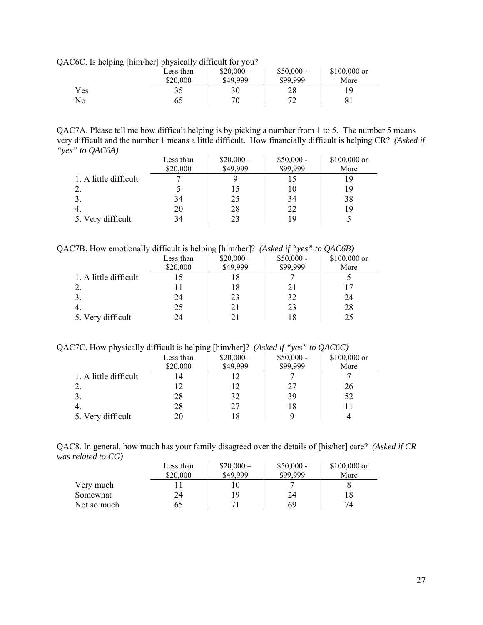QAC6C. Is helping [him/her] physically difficult for you?

| ັບເ | Less than<br>\$20,000 | $$20,000-$<br>\$49.999 | $$50,000 -$<br>\$99,999 | $$100,000$ or<br>More |
|-----|-----------------------|------------------------|-------------------------|-----------------------|
| Yes |                       | 30                     | 28                      | 1 Q                   |
| No  | ხა                    | 70                     | רי                      | 81                    |

QAC7A. Please tell me how difficult helping is by picking a number from 1 to 5. The number 5 means very difficult and the number 1 means a little difficult. How financially difficult is helping CR? *(Asked if "yes" to QAC6A)*

|                       | Less than | $$20,000-$ | $$50,000 -$ | \$100,000 or |
|-----------------------|-----------|------------|-------------|--------------|
|                       | \$20,000  | \$49,999   | \$99,999    | More         |
| 1. A little difficult |           |            |             |              |
|                       |           |            | 10          | 19           |
|                       | 34        | 25         | 34          | 38           |
|                       | 20        | 28         | 22          | 19           |
| 5. Very difficult     | 34        | 23         |             |              |

QAC7B. How emotionally difficult is helping [him/her]? *(Asked if "yes" to QAC6B)* 

|                       | Less than<br>\$20,000 | ັບເ<br>$$20,000-$<br>\$49,999 | $$50,000 -$<br>\$99,999 | ~<br>\$100,000 or<br>More |
|-----------------------|-----------------------|-------------------------------|-------------------------|---------------------------|
| 1. A little difficult |                       | 18                            |                         |                           |
|                       |                       | 18                            | 21                      |                           |
|                       | 24                    | 23                            | 32                      | 24                        |
|                       | 25                    | 21                            | 23                      | 28                        |
| 5. Very difficult     | 24                    |                               | 18                      | 25                        |

QAC7C. How physically difficult is helping [him/her]? *(Asked if "yes" to QAC6C)*

|                       | Less than<br>\$20,000 | $$20,000-$<br>\$49,999 | $$50,000 -$<br>\$99,999 | \$100,000 or<br>More |
|-----------------------|-----------------------|------------------------|-------------------------|----------------------|
| 1. A little difficult | 4                     |                        |                         |                      |
|                       | 12                    | 12                     | 27                      | 26                   |
|                       | 28                    | 32                     | 39                      | 52                   |
|                       | 28                    | 27                     | 18                      |                      |
| 5. Very difficult     | 20                    | 18                     |                         |                      |

QAC8. In general, how much has your family disagreed over the details of [his/her] care? *(Asked if CR was related to CG)*   $\mathbf{r}$  $\mathbf{r}$ 

|             | Less than | $$20,000-$ | $$50,000 -$ | $$100,000$ or |
|-------------|-----------|------------|-------------|---------------|
|             | \$20,000  | \$49,999   | \$99.999    | More          |
| Very much   |           |            |             |               |
| Somewhat    |           | 19         | 24          |               |
| Not so much |           |            | 69          | 74            |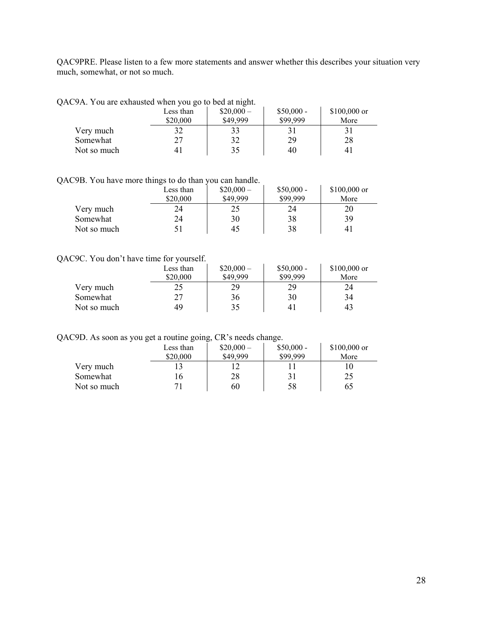QAC9PRE. Please listen to a few more statements and answer whether this describes your situation very much, somewhat, or not so much.

| QAC9A. You are exhausted when you go to bed at night. |           |            |             |               |
|-------------------------------------------------------|-----------|------------|-------------|---------------|
|                                                       | Less than | $$20,000-$ | $$50,000 -$ | $$100,000$ or |
|                                                       | \$20,000  | \$49,999   | \$99,999    | More          |
| Very much                                             |           | 33         | 31          | 31            |
| Somewhat                                              | די        | 37         | 29          | 28            |

Not so much 41  $\begin{array}{|c|c|c|c|c|} \hline 40 & 41 \\ \hline \end{array}$  40  $\begin{array}{|c|c|c|c|c|} \hline 41 & 41 \\ \hline \end{array}$ 

#### QAC9B. You have more things to do than you can handle.

|             | Less than<br>\$20,000 | $$20,000-$<br>\$49,999 | $$50,000 -$<br>\$99,999 | $$100,000$ or<br>More |
|-------------|-----------------------|------------------------|-------------------------|-----------------------|
|             |                       |                        |                         |                       |
| Very much   | 24                    |                        | 24                      | 20                    |
| Somewhat    | 24                    | 30                     | 38                      | 39                    |
| Not so much |                       | 45                     | 38                      | 41                    |

#### QAC9C. You don't have time for yourself.

|             | Less than | $$20,000-$ | $$50,000 -$ | $$100,000$ or |
|-------------|-----------|------------|-------------|---------------|
|             | \$20,000  | \$49,999   | \$99.999    | More          |
| Very much   | 25        | 29         | 29          | 24            |
| Somewhat    | つワ        | 36         | 30          | 34            |
| Not so much | 49        | 35         | 41          | 43            |

QAC9D. As soon as you get a routine going, CR's needs change.

|             | Less than | $$20,000-$ | $$50,000 -$ | $$100,000$ or |
|-------------|-----------|------------|-------------|---------------|
|             | \$20,000  | \$49.999   | \$99.999    | More          |
| Very much   |           |            |             |               |
| Somewhat    | . O       | 28         |             | 25            |
| Not so much |           | 60         | 58          | 65            |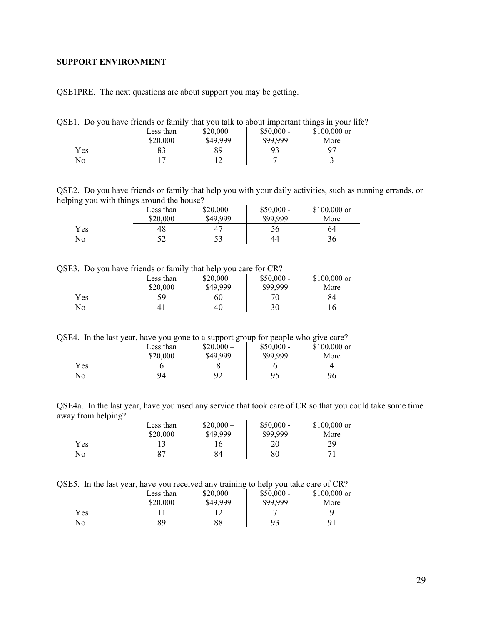#### <span id="page-28-0"></span>**SUPPORT ENVIRONMENT**

QSE1PRE. The next questions are about support you may be getting.

QSE1. Do you have friends or family that you talk to about important things in your life?

|     | Less than | $$20,000-$ | $$50,000 -$ | $$100,000$ or  |
|-----|-----------|------------|-------------|----------------|
|     | \$20,000  | \$49,999   | \$99,999    | More           |
| Yes |           | 89         | 93          | Q <sub>7</sub> |
| No  |           | 1 ^        |             |                |

QSE2. Do you have friends or family that help you with your daily activities, such as running errands, or helping you with things around the house?

| - - | .<br>Less than<br>\$20,000 | $$20,000-$<br>\$49,999 | $$50,000 -$<br>\$99,999 | \$100,000 or<br>More |
|-----|----------------------------|------------------------|-------------------------|----------------------|
| Yes | 48                         | 47                     | 56                      | 64                   |
| No  |                            | 53                     | 44                      | 36                   |

QSE3. Do you have friends or family that help you care for CR?

|     | Less than<br>\$20,000 | $$20,000-$<br>\$49,999 | $$50,000 -$<br>\$99,999 | \$100,000 or<br>More |
|-----|-----------------------|------------------------|-------------------------|----------------------|
| Yes | 59                    | 60                     | 70                      | 84                   |
| No  | 4 <sub>1</sub>        | 40                     | 30                      | 16                   |

QSE4. In the last year, have you gone to a support group for people who give care?

|     | Less than | $$20,000-$ | $$50,000 -$ | $$100,000$ or |
|-----|-----------|------------|-------------|---------------|
|     | \$20,000  | \$49,999   | \$99,999    | More          |
| Yes |           |            |             |               |
| No  | 94        | 92         | 95          | 96            |

QSE4a. In the last year, have you used any service that took care of CR so that you could take some time away from helping?

|     | Less than | $$20,000-$ | $$50,000 -$ | $$100,000$ or |
|-----|-----------|------------|-------------|---------------|
|     | \$20,000  | \$49,999   | \$99,999    | More          |
| Yes |           | 16         | 20          | 29            |
| No  | -87       | 84         | $80\,$      | 71            |

QSE5. In the last year, have you received any training to help you take care of CR?

|     | Less than<br>\$20,000 | ຼ<br>$$20,000-$<br>\$49,999 | $$50,000 -$<br>\$99,999 | $$100,000$ or<br>More |
|-----|-----------------------|-----------------------------|-------------------------|-----------------------|
| Yes |                       | !∠                          |                         |                       |
| No  | 89                    | 88                          | 93                      | 91                    |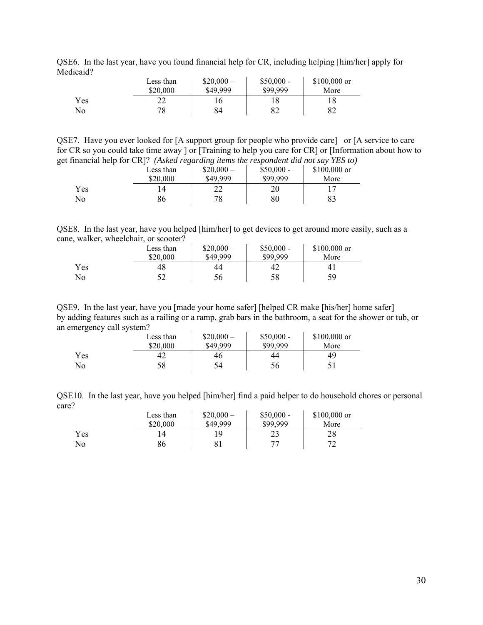|           |  |  |  | QSE6. In the last year, have you found financial help for CR, including helping [him/her] apply for |  |  |
|-----------|--|--|--|-----------------------------------------------------------------------------------------------------|--|--|
| Medicaid? |  |  |  |                                                                                                     |  |  |

|           | Less than | $$20,000-$ | $$50,000 -$ | $$100,000$ or |
|-----------|-----------|------------|-------------|---------------|
|           | \$20,000  | \$49,999   | \$99.999    | More          |
| Yes<br>No | າາ<br>78  | 84         | 82          | 82            |

QSE7. Have you ever looked for [A support group for people who provide care] or [A service to care for CR so you could take time away ] or [Training to help you care for CR] or [Information about how to get financial help for CR]? *(Asked regarding items the respondent did not say YES to)* 

|     | Less than | .<br>$$20,000-$ | $$50,000 -$ | \$100,000 or |
|-----|-----------|-----------------|-------------|--------------|
|     | \$20,000  | \$49,999        | \$99,999    | More         |
| Yes |           | າາ<br>∠∠        | 20          |              |
| No  | 86        | 78              | 80          | 83           |

QSE8. In the last year, have you helped [him/her] to get devices to get around more easily, such as a cane, walker, wheelchair, or scooter?

|     | Less than | $$20,000-$ | $$50,000 -$ | $$100,000$ or  |
|-----|-----------|------------|-------------|----------------|
|     | \$20,000  | \$49,999   | \$99,999    | More           |
| Yes | 48        | 44         | 42          | 4 <sub>1</sub> |
| No  |           | 56         | 58          | 59             |

QSE9. In the last year, have you [made your home safer] [helped CR make [his/her] home safer] by adding features such as a railing or a ramp, grab bars in the bathroom, a seat for the shower or tub, or an emergency call system?

|     | Less than<br>\$20,000 | $$20,000-$<br>\$49,999 | $$50,000 -$<br>\$99,999 | $$100,000$ or<br>More |
|-----|-----------------------|------------------------|-------------------------|-----------------------|
| Yes | 42                    | 46                     | 44                      | 49                    |
| No  | 58                    | 54                     | 56                      | ◡▴                    |

QSE10. In the last year, have you helped [him/her] find a paid helper to do household chores or personal care?

|      | Less than<br>\$20,000 | $$20,000-$<br>\$49,999 | $$50,000 -$<br>\$99,999 | $$100,000$ or<br>More |
|------|-----------------------|------------------------|-------------------------|-----------------------|
| Yes. | $\overline{4}$        | 1 Q                    | ر ے                     | 28                    |
| No   | 86                    | 81                     | 77                      | רי<br>∼               |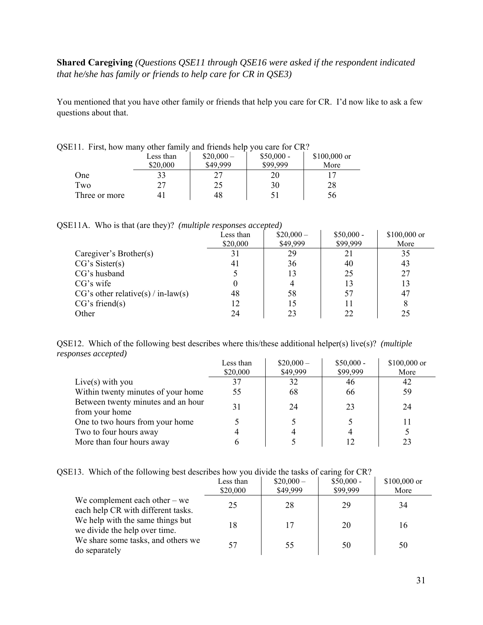# **Shared Caregiving** *(Questions QSE11 through QSE16 were asked if the respondent indicated that he/she has family or friends to help care for CR in QSE3)*

You mentioned that you have other family or friends that help you care for CR. I'd now like to ask a few questions about that.

| ETT. First, how many other family and friends help you care for CR? |           |            |             |               |  |  |
|---------------------------------------------------------------------|-----------|------------|-------------|---------------|--|--|
|                                                                     | Less than | $$20,000-$ | $$50,000 -$ | $$100,000$ or |  |  |
|                                                                     | \$20,000  | \$49,999   | \$99,999    | More          |  |  |
| One                                                                 |           |            | 20          |               |  |  |
| Two                                                                 |           | 25         | 30          | 28            |  |  |
| Three or more                                                       |           | 48         | 51          | 56            |  |  |

QSE11. First, how many other family and friends help you care for CR?

| QSE11A. Who is that (are they)? (multiple responses accepted) |  |  |  |  |
|---------------------------------------------------------------|--|--|--|--|
|---------------------------------------------------------------|--|--|--|--|

|                                      | Less than | $$20,000-$ | $$50,000 -$ | \$100,000 or |
|--------------------------------------|-----------|------------|-------------|--------------|
|                                      | \$20,000  | \$49,999   | \$99,999    | More         |
| Caregiver's Brother(s)               | 31        | 29         | 21          | 35           |
| CG's Sister(s)                       | 41        | 36         | 40          | 43           |
| CG's husband                         |           | 13         | 25          | 27           |
| $CG's$ wife                          |           |            | 13          | 13           |
| $CG's other relative(s) / in-law(s)$ | 48        | 58         | 57          | 47           |
| CG's friend(s)                       | 12        | 15         |             |              |
| Other                                | 24        | 23         | 22          | 25           |

QSE12. Which of the following best describes where this/these additional helper(s) live(s)? *(multiple responses accepted)*  $\mathcal{L}_{\text{max}}$  $\mathcal{L}_{\mathbf{r}}$  $\sim$ 

|                                    | Less than | $$20,000-$ | $$50,000 -$ | \$100,000 or |
|------------------------------------|-----------|------------|-------------|--------------|
|                                    | \$20,000  | \$49,999   | \$99,999    | More         |
| Live(s) with you                   | 37        | 32         | 46          | 42           |
| Within twenty minutes of your home | 55        | 68         | 66          | 59           |
| Between twenty minutes and an hour | 31        | 24         | 23          | 24           |
| from your home                     |           |            |             |              |
| One to two hours from your home    |           |            |             |              |
| Two to four hours away             |           |            |             |              |
| More than four hours away          |           |            |             |              |

| QSE13. Which of the following best describes how you divide the tasks of caring for CR? |  |  |  |  |
|-----------------------------------------------------------------------------------------|--|--|--|--|
|                                                                                         |  |  |  |  |

|                                                                       | Less than<br>\$20,000 | $$20,000-$<br>\$49,999 | $$50,000 -$<br>\$99,999 | \$100,000 or<br>More |
|-----------------------------------------------------------------------|-----------------------|------------------------|-------------------------|----------------------|
| We complement each other $-$ we<br>each help CR with different tasks. | 25                    | 28                     | 29                      | 34                   |
| We help with the same things but<br>we divide the help over time.     | 18                    | 17                     | 20                      | 16                   |
| We share some tasks, and others we<br>do separately                   | 57                    | 55                     | 50                      | 50                   |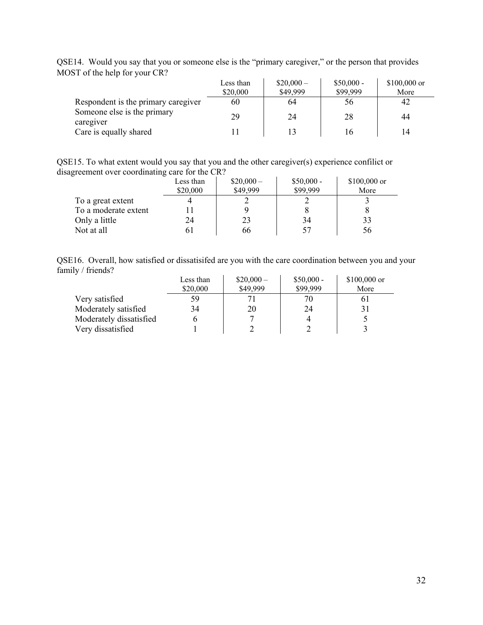|                                          | Less than<br>\$20,000 | $$20,000-$<br>\$49,999 | $$50,000 -$<br>\$99,999 | $$100,000$ or<br>More |
|------------------------------------------|-----------------------|------------------------|-------------------------|-----------------------|
| Respondent is the primary caregiver      | 60                    | 64                     | 56                      | 42                    |
| Someone else is the primary<br>caregiver | 29                    | 24                     | 28                      | 44                    |
| Care is equally shared                   |                       |                        | 16                      | 14                    |

QSE14. Would you say that you or someone else is the "primary caregiver," or the person that provides MOST of the help for your CR?

QSE15. To what extent would you say that you and the other caregiver(s) experience confilict or disagreement over coordinating care for the CR?

|                      | Less than<br>\$20,000 | $$20,000-$<br>\$49,999 | $$50,000 -$<br>\$99,999 | $$100,000$ or<br>More |
|----------------------|-----------------------|------------------------|-------------------------|-----------------------|
| To a great extent    |                       |                        |                         |                       |
| To a moderate extent |                       |                        |                         |                       |
| Only a little        | 24                    | 23                     | 34                      | 33                    |
| Not at all           | n I                   | 66                     | 57                      | 56                    |

QSE16. Overall, how satisfied or dissatisifed are you with the care coordination between you and your family / friends?

|                         | Less than | $$20,000-$ | $$50,000 -$ | $$100,000$ or |
|-------------------------|-----------|------------|-------------|---------------|
|                         | \$20,000  | \$49,999   | \$99,999    | More          |
| Very satisfied          | 59        |            | 70          |               |
| Moderately satisfied    | 34        | 20         | 24          |               |
| Moderately dissatisfied |           |            |             |               |
| Very dissatisfied       |           |            |             |               |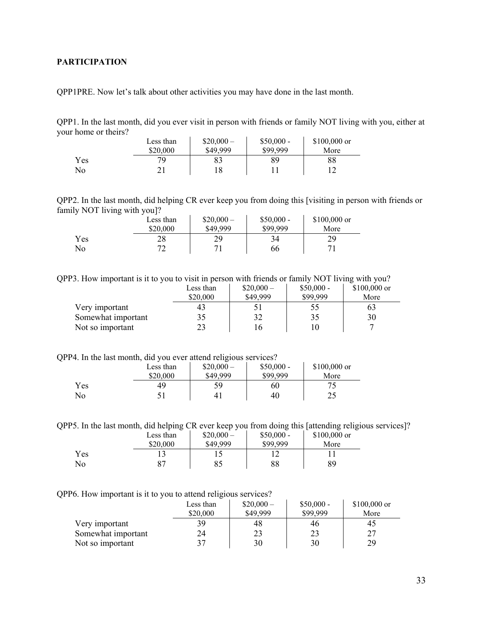# <span id="page-32-0"></span>**PARTICIPATION**

QPP1PRE. Now let's talk about other activities you may have done in the last month.

QPP1. In the last month, did you ever visit in person with friends or family NOT living with you, either at your home or theirs?  $\mathcal{L}^{\mathcal{L}}$  $\mathcal{L}$  $\mathbf{r}$ 

|            | Less than | $$20,000-$ | $$50,000 -$ | $$100,000$ or |
|------------|-----------|------------|-------------|---------------|
|            | \$20,000  | \$49,999   | \$99,999    | More          |
| <b>Yes</b> | 70.       | 83         | 89          | 88            |
| No         |           | 18         |             |               |

QPP2. In the last month, did helping CR ever keep you from doing this [visiting in person with friends or family NOT living with you]?

|     | Less than | $$20,000-$ | $$50,000 -$ | $$100,000$ or |
|-----|-----------|------------|-------------|---------------|
|     | \$20,000  | \$49,999   | \$99,999    | More          |
| Yes | 28        | 29         | 34          | 29            |
| No  |           |            | 66          |               |

QPP3. How important is it to you to visit in person with friends or family NOT living with you?

|                    | Less than | $$20,000-$ | $$50,000 -$     | $$100,000$ or |
|--------------------|-----------|------------|-----------------|---------------|
|                    | \$20,000  | \$49,999   | \$99.999        | More          |
| Very important     |           |            | 55 <sub>o</sub> | 03            |
| Somewhat important |           | 32         | 35              | 30            |
| Not so important   |           | 16         |                 |               |

QPP4. In the last month, did you ever attend religious services?

|     | Less than | --<br>$$20,000-$ | $$50,000 -$ | \$100,000 or |
|-----|-----------|------------------|-------------|--------------|
|     | \$20,000  | \$49,999         | \$99,999    | More         |
| Yes | 49        | 59               | 60          |              |
| No  |           | 4 <sub>1</sub>   | 40          | つく<br>ر ب    |

QPP5. In the last month, did helping CR ever keep you from doing this [attending religious services]?

|     | Less than | $$20,000-$ | $$50,000 -$ | $$100,000$ or |  |
|-----|-----------|------------|-------------|---------------|--|
|     | \$20,000  | \$49,999   | \$99,999    | More          |  |
| Yes |           |            |             |               |  |
| No  | ∘∼        |            | 88          | 89            |  |

QPP6. How important is it to you to attend religious services?

|                    | Less than<br>\$20,000 | $$20,000-$<br>\$49,999 | $$50,000 -$<br>\$99.999 | $$100,000$ or<br>More |
|--------------------|-----------------------|------------------------|-------------------------|-----------------------|
| Very important     | 39                    | 48                     | 46                      | 45                    |
| Somewhat important | 24                    |                        |                         | フフ                    |
| Not so important   |                       | 30                     | 30                      | 29                    |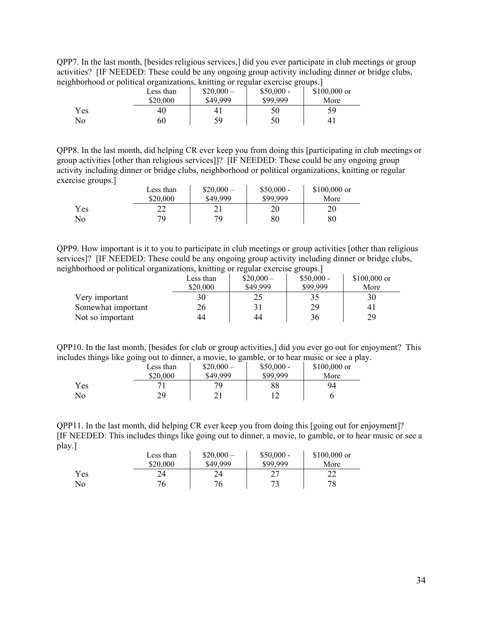QPP7. In the last month, [besides religious services,] did you ever participate in club meetings or group activities? [IF NEEDED: These could be any ongoing group activity including dinner or bridge clubs, neighborhood or political organizations, knitting or regular exercise groups.]

|     | Less than<br>\$20,000 | $$20,000-$<br>\$49,999 | $$50,000 -$<br>\$99,999 | $$100,000$ or<br>More |
|-----|-----------------------|------------------------|-------------------------|-----------------------|
| Yes | 40                    |                        | 50                      | 59                    |
| No  | 60                    | 59                     | 50                      | 4 <sub>1</sub>        |

QPP8. In the last month, did helping CR ever keep you from doing this [participating in club meetings or group activities [other than religious services]]? [IF NEEDED: These could be any ongoing group activity including dinner or bridge clubs, neighborhood or political organizations, knitting or regular exercise groups.]

|     | Less than | $$20,000-$ | $$50,000 -$ | $$100,000$ or |
|-----|-----------|------------|-------------|---------------|
|     | \$20,000  | \$49,999   | \$99.999    | More          |
| Yes | າາ        |            | 20          | 20            |
| No  | 70        | 79         | $80\,$      | 80            |

QPP9. How important is it to you to participate in club meetings or group activities [other than religious services]? [IF NEEDED: These could be any ongoing group activity including dinner or bridge clubs, neighborhood or political organizations, knitting or regular exercise groups.]

|                    | Less than | $$20,000-$ | $$50,000 -$ | $$100,000$ or |
|--------------------|-----------|------------|-------------|---------------|
|                    | \$20,000  | \$49.999   | \$99.999    | More          |
| Very important     |           |            |             | 30            |
| Somewhat important | 26        |            | 29          | 41            |
| Not so important   | 44        | 44         | 36          | 29            |

QPP10. In the last month, [besides for club or group activities,] did you ever go out for enjoyment? This includes things like going out to dinner, a movie, to gamble, or to hear music or see a play.

| J   | . .<br>Less than<br>\$20,000 | ັ<br>$$20,000-$<br>\$49,999 | $$50,000 -$<br>\$99.999 | $$100,000$ or<br>More |
|-----|------------------------------|-----------------------------|-------------------------|-----------------------|
| Yes |                              | 79                          | 88                      | 94                    |
| No  | 20.                          |                             | 1 0                     |                       |

QPP11. In the last month, did helping CR ever keep you from doing this [going out for enjoyment]? [IF NEEDED: This includes things like going out to dinner, a movie, to gamble, or to hear music or see a play.]

|            | Less than<br>\$20,000 | $$20,000-$<br>\$49,999 | $$50,000 -$<br>\$99,999 | $$100,000$ or<br>More |
|------------|-----------------------|------------------------|-------------------------|-----------------------|
| <b>Yes</b> | 24                    | 24                     | ∠                       | າາ<br>∠∠              |
| No         |                       | 76                     |                         | 78                    |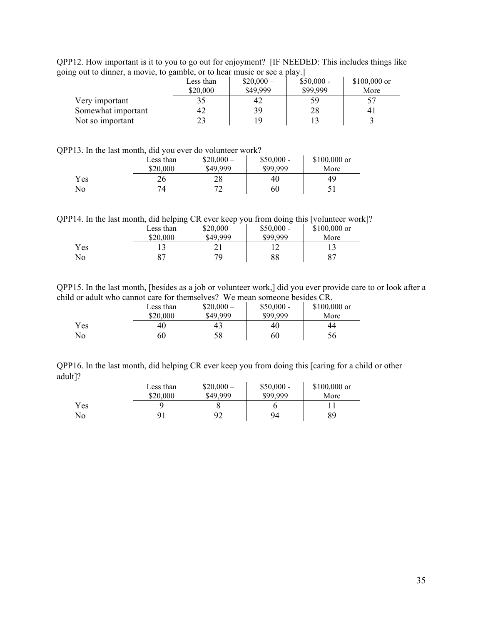QPP12. How important is it to you to go out for enjoyment? [IF NEEDED: This includes things like going out to dinner, a movie, to gamble, or to hear music or see a play.]

| Less than | $$20,000-$ | $$50,000 -$ | $$100,000$ or                                                                                |
|-----------|------------|-------------|----------------------------------------------------------------------------------------------|
| \$20,000  | \$49,999   | \$99,999    | More                                                                                         |
|           |            | 59          |                                                                                              |
|           | 39         | 28          | 4,                                                                                           |
|           | 19         |             |                                                                                              |
|           |            |             | $\Box$ can be commonly write they be $\Box$ controlled to mean integrate or beef as practice |

#### QPP13. In the last month, did you ever do volunteer work?

|     | Less than | $$20,000-$ | $$50,000 -$ | $$100,000$ or |
|-----|-----------|------------|-------------|---------------|
|     | \$20,000  | \$49,999   | \$99.999    | More          |
| Yes | 26        | 28         | 40          | 49            |
| No  | 74        | רי<br>∠    | 60          |               |

QPP14. In the last month, did helping CR ever keep you from doing this [volunteer work]?

|     | Less than | $$20,000-$ | $$50,000 -$ | $$100,000$ or |
|-----|-----------|------------|-------------|---------------|
|     | \$20,000  | \$49,999   | \$99,999    | More          |
| Yes |           |            |             |               |
| No  |           | 79         | 88          | 87            |

QPP15. In the last month, [besides as a job or volunteer work,] did you ever provide care to or look after a child or adult who cannot care for themselves? We mean someone besides CR.

| \$20,000              | \$49,999 | $$20,000-$<br>$$50,000 -$<br>\$99,999 | $$100,000$ or<br>More |
|-----------------------|----------|---------------------------------------|-----------------------|
| Yes<br>40<br>No<br>60 | 43<br>58 | 40<br>60                              | 44<br>56              |

QPP16. In the last month, did helping CR ever keep you from doing this [caring for a child or other adult]?

|     | Less than | $$20,000-$ | $$50,000 -$ | $$100,000$ or |  |
|-----|-----------|------------|-------------|---------------|--|
|     | \$20,000  | \$49,999   | \$99,999    | More          |  |
| Yes |           |            |             |               |  |
| No  | 91        | 92         | 94          | 89            |  |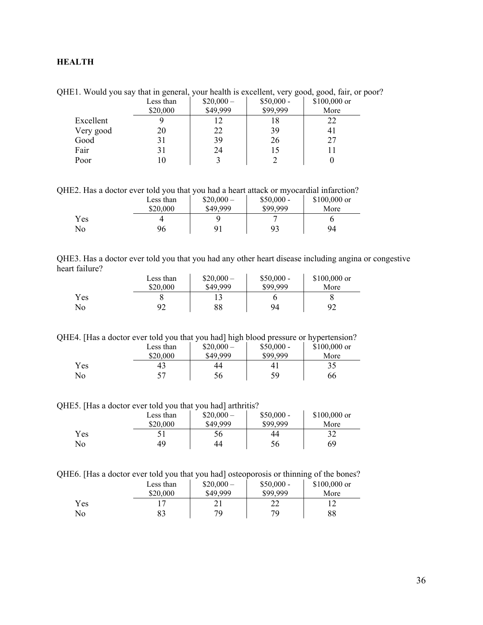# <span id="page-35-0"></span>**HEALTH**

QHE1. Would you say that in general, your health is excellent, very good, good, fair, or poor?

|           | Less than | $$20,000-$ | $$50,000 -$ | $$100,000$ or |
|-----------|-----------|------------|-------------|---------------|
|           | \$20,000  | \$49,999   | \$99,999    | More          |
| Excellent |           | 12         | 18          | 22            |
| Very good | 20        | 22         | 39          |               |
| Good      |           | 39         | 26          | 27            |
| Fair      | 31        | 24         | 15          |               |
| Poor      | ιo        |            |             |               |

QHE2. Has a doctor ever told you that you had a heart attack or myocardial infarction?

|            | Less than | $$20,000-$ | $$50,000 -$ | $$100,000$ or |
|------------|-----------|------------|-------------|---------------|
|            | \$20,000  | \$49,999   | \$99,999    | More          |
| <b>Yes</b> |           |            |             |               |
| No         | 96        | 91         | 93          | 94            |

| QHE3. Has a doctor ever told you that you had any other heart disease including angina or congestive |  |  |  |  |
|------------------------------------------------------------------------------------------------------|--|--|--|--|
| heart failure?                                                                                       |  |  |  |  |

|     | Less than | $$20,000-$ | $$50,000 -$ | $$100,000$ or |
|-----|-----------|------------|-------------|---------------|
|     | \$20,000  | \$49,999   | \$99,999    | More          |
| Yes |           |            |             |               |
| No  | 92        | 88         | 94          | 92            |

QHE4. [Has a doctor ever told you that you had] high blood pressure or hypertension?

|     | Less than | $$20,000-$ | $$50,000 -$    | $$100,000$ or |
|-----|-----------|------------|----------------|---------------|
|     | \$20,000  | \$49,999   | \$99,999       | More          |
| Yes | 43        | 44         | 4 <sub>1</sub> | 35            |
| No  | ◡         | 56         | 59             | 66            |

QHE5. [Has a doctor ever told you that you had] arthritis?

| -   | Less than<br>\$20,000 | $$20,000-$<br>\$49,999 | $$50,000 -$<br>\$99,999 | $$100,000$ or<br>More |
|-----|-----------------------|------------------------|-------------------------|-----------------------|
| Yes |                       | 56                     | 44                      | 20                    |
| No  | 49                    | 44                     | 56                      | 69                    |

QHE6. [Has a doctor ever told you that you had] osteoporosis or thinning of the bones?

|     | Less than<br>\$20,000 | $$20,000-$<br>\$49,999 | $$50,000 -$<br>\$99,999 | $$100,000$ or<br>More |
|-----|-----------------------|------------------------|-------------------------|-----------------------|
| Yes |                       |                        | າາ<br>∠∠                |                       |
| No  |                       | 79                     | 70                      | 88                    |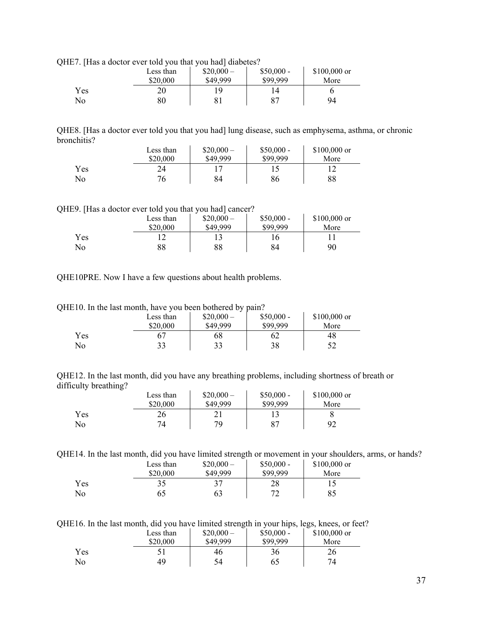QHE7. [Has a doctor ever told you that you had] diabetes?

| <u>.</u> | Less than<br>\$20,000 | $$20,000-$<br>\$49,999 | $$50,000 -$<br>\$99,999 | $$100,000$ or<br>More |
|----------|-----------------------|------------------------|-------------------------|-----------------------|
| Yes      | 20                    | Q                      | $\circ$                 |                       |
| No       | 80                    |                        |                         | 94                    |

QHE8. [Has a doctor ever told you that you had] lung disease, such as emphysema, asthma, or chronic bronchitis?

|     | Less than | $$20,000-$ | $$50,000 -$ | $$100,000$ or |
|-----|-----------|------------|-------------|---------------|
|     | \$20,000  | \$49,999   | \$99.999    | More          |
| Yes | 24        |            |             |               |
| No  | 76        | 84         | 86          | 88            |

QHE9. [Has a doctor ever told you that you had] cancer?

|     | Less than<br>\$20,000 | $$20,000-$<br>\$49,999 | $$50,000 -$<br>\$99,999 | \$100,000 or<br>More |
|-----|-----------------------|------------------------|-------------------------|----------------------|
| Yes |                       |                        | 16                      |                      |
| No  | 88                    | 88                     | 84                      | 90                   |

QHE10PRE. Now I have a few questions about health problems.

QHE10. In the last month, have you been bothered by pain?

|     | Less than<br>\$20,000 | $$20,000-$<br>\$49,999 | $$50,000 -$<br>\$99.999 | \$100,000 or<br>More |
|-----|-----------------------|------------------------|-------------------------|----------------------|
| Yes |                       | 68                     |                         | 48                   |
| No  |                       | 33                     | 38                      |                      |

QHE12. In the last month, did you have any breathing problems, including shortness of breath or difficulty breathing?

|     | Less than | $$20,000-$ | $$50,000 -$ | $$100,000$ or |
|-----|-----------|------------|-------------|---------------|
|     | \$20,000  | \$49,999   | \$99,999    | More          |
| Yes | 26        |            |             |               |
| No  |           | 70         | 87          | 92            |

QHE14. In the last month, did you have limited strength or movement in your shoulders, arms, or hands?

|     | Less than<br>\$20,000 | $$20,000-$<br>\$49,999 | $$50,000 -$<br>\$99,999 | $$100,000$ or<br>More |
|-----|-----------------------|------------------------|-------------------------|-----------------------|
| Yes |                       | 37                     | 28                      |                       |
| No  |                       | 63                     | 72                      | 85                    |

QHE16. In the last month, did you have limited strength in your hips, legs, knees, or feet?

|     | Less than<br>\$20,000 | $$20,000-$<br>\$49,999 | __<br>$$50,000 -$<br>\$99,999 | $$100,000$ or<br>More |
|-----|-----------------------|------------------------|-------------------------------|-----------------------|
| Yes |                       | 46                     | 36                            | 26                    |
| No  | 49                    | 54                     | 65                            | 74                    |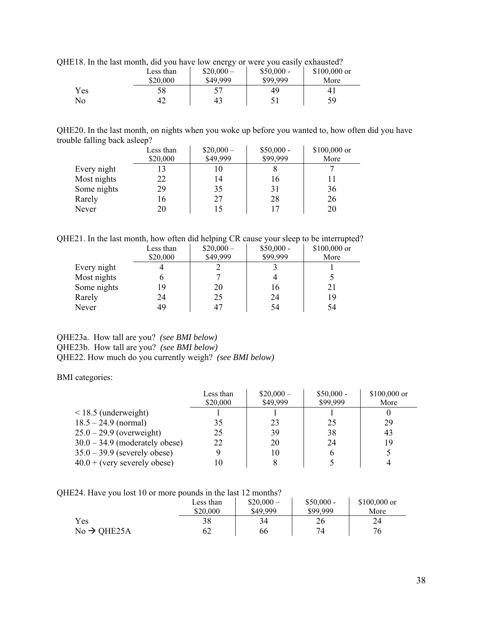QHE18. In the last month, did you have low energy or were you easily exhausted?

|     | Less than<br>\$20,000 | تت<br>$$20,000-$<br>\$49,999 | $$50,000 -$<br>\$99.999 | $$100,000$ or<br>More |
|-----|-----------------------|------------------------------|-------------------------|-----------------------|
| Yes | 58                    |                              | 49                      |                       |
| No  | 42                    | 43                           |                         | 59                    |

QHE20. In the last month, on nights when you woke up before you wanted to, how often did you have trouble falling back asleep?

| Less than | $$20,000-$ | $$50,000 -$ | \$100,000 or |
|-----------|------------|-------------|--------------|
| \$20,000  | \$49,999   | \$99,999    | More         |
| 13        |            |             |              |
| 22        | 14         | 16          |              |
| 29        | 35         | 31          | 36           |
| 16        | 27         | 28          | 26           |
| 20        |            | 17          | 20           |
|           |            |             |              |

QHE21. In the last month, how often did helping CR cause your sleep to be interrupted?

|             | Less than | $$20,000-$ | $$50,000 -$ | \$100,000 or |
|-------------|-----------|------------|-------------|--------------|
|             | \$20,000  | \$49,999   | \$99,999    | More         |
| Every night |           |            |             |              |
| Most nights |           |            |             |              |
| Some nights | 19        | 20         | 16          | 21           |
| Rarely      | 24        | 25         | 24          | 19           |
| Never       | 49        | 47         | 54          | 54           |

### QHE23a. How tall are you? *(see BMI below)* QHE23b. How tall are you? *(see BMI below)* QHE22. How much do you currently weigh? *(see BMI below)*

BMI categories:

|                                  | Less than<br>\$20,000 | $$20,000-$<br>\$49,999 | $$50,000 -$<br>\$99,999 | $$100,000$ or<br>More |
|----------------------------------|-----------------------|------------------------|-------------------------|-----------------------|
| $\leq$ 18.5 (underweight)        |                       |                        |                         |                       |
| $18.5 - 24.9$ (normal)           | 35                    | 23                     | 25                      | 29                    |
| $25.0 - 29.9$ (overweight)       | 25                    | 39                     | 38                      | 43                    |
| $30.0 - 34.9$ (moderately obese) | 22                    | 20                     | 24                      | 19                    |
| $35.0 - 39.9$ (severely obese)   |                       | 10                     | h                       |                       |
| $40.0 + (very severely obese)$   | 10                    | 8                      |                         |                       |

QHE24. Have you lost 10 or more pounds in the last 12 months?

|                         | Less than<br>\$20,000 | $$20,000-$<br>\$49,999 | $$50,000 -$<br>\$99.999 | $$100,000$ or<br>More |
|-------------------------|-----------------------|------------------------|-------------------------|-----------------------|
| Yes                     | 38                    | 34                     | 26                      |                       |
| $No \rightarrow QHE25A$ | 62                    | 66                     | 74                      | 76                    |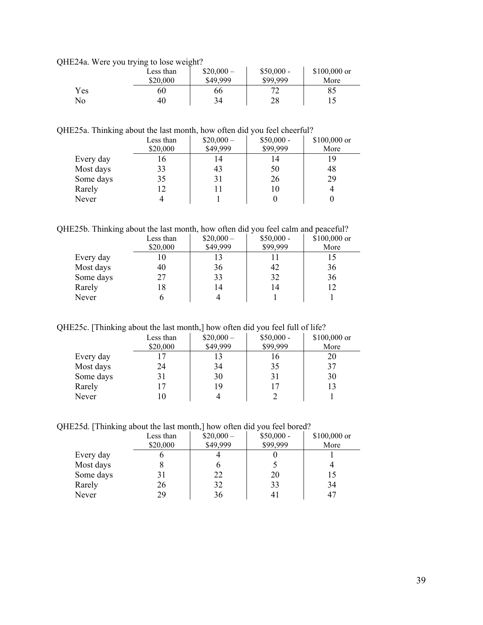QHE24a. Were you trying to lose weight?

|     | $\sqrt{ }$<br>Less than<br>\$20,000 | $$20,000-$<br>\$49,999 | $$50,000 -$<br>\$99,999 | $$100,000$ or<br>More |  |
|-----|-------------------------------------|------------------------|-------------------------|-----------------------|--|
| Yes | 60                                  | 66                     | רר                      | 85                    |  |
| No  | 40                                  | 34                     | 28                      |                       |  |

QHE25a. Thinking about the last month, how often did you feel cheerful?

|           | Less than<br>\$20,000 | $$20,000-$<br>\$49,999 | $$50,000 -$<br>\$99,999 | \$100,000 or<br>More |
|-----------|-----------------------|------------------------|-------------------------|----------------------|
| Every day |                       | 14                     | 14                      | 19                   |
| Most days | 33                    | 43                     | 50                      | 48                   |
| Some days | 35                    | 31                     | 26                      | 29                   |
| Rarely    |                       |                        | 10                      |                      |
| Never     |                       |                        |                         |                      |

QHE25b. Thinking about the last month, how often did you feel calm and peaceful?

|           | Less than | $$20,000-$ | $$50,000 -$ | $$100,000$ or |
|-----------|-----------|------------|-------------|---------------|
|           | \$20,000  | \$49,999   | \$99,999    | More          |
| Every day |           |            |             |               |
| Most days | 40        | 36         | 42          | 36            |
| Some days | 27        | 33         | 32          | 36            |
| Rarely    | 18        | 14         | 14          |               |
| Never     |           |            |             |               |

QHE25c. [Thinking about the last month,] how often did you feel full of life?

|           | Less than<br>\$20,000 | $$20,000-$<br>\$49,999 | $$50,000 -$<br>\$99,999 | \$100,000 or<br>More |
|-----------|-----------------------|------------------------|-------------------------|----------------------|
| Every day |                       | 13                     | 16                      | 20                   |
| Most days | 24                    | 34                     | 35                      | 37                   |
| Some days |                       | 30                     | 31                      | 30                   |
| Rarely    |                       | 19                     |                         | 13                   |
| Never     |                       |                        |                         |                      |

QHE25d. [Thinking about the last month,] how often did you feel bored?

|           | Less than<br>\$20,000 | $$20,000-$<br>\$49,999 | $$50,000 -$<br>\$99,999 | \$100,000 or<br>More |
|-----------|-----------------------|------------------------|-------------------------|----------------------|
| Every day |                       |                        |                         |                      |
| Most days |                       |                        |                         |                      |
| Some days | 31                    | 22                     | 20                      |                      |
| Rarely    | 26                    | 32                     | 33                      | 34                   |
| Never     | 29                    | 36                     |                         |                      |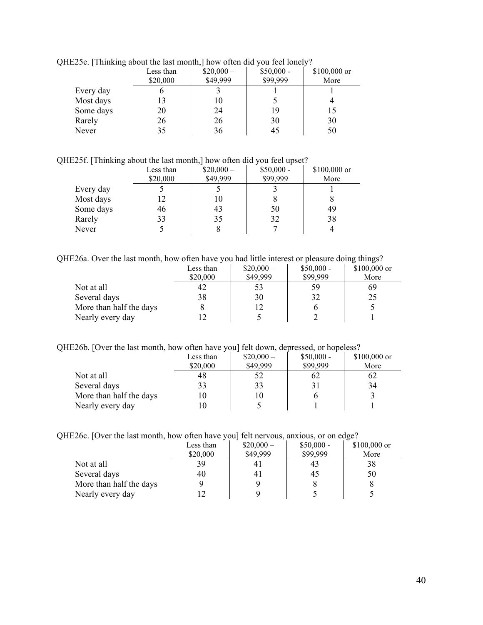|           | $1220$ ; Thinking about the fast month, flow often the you feel follery. |            |             |              |  |  |
|-----------|--------------------------------------------------------------------------|------------|-------------|--------------|--|--|
|           | Less than                                                                | $$20,000-$ | $$50,000 -$ | \$100,000 or |  |  |
|           | \$20,000                                                                 | \$49,999   | \$99,999    | More         |  |  |
| Every day |                                                                          |            |             |              |  |  |
| Most days |                                                                          | 10         |             |              |  |  |
| Some days | 20                                                                       | 24         | 19          | 15           |  |  |
| Rarely    | 26                                                                       | 26         | 30          | 30           |  |  |
| Never     | 35                                                                       | 36         | 45          | 50           |  |  |
|           |                                                                          |            |             |              |  |  |

QHE25e. [Thinking about the last month,] how often did you feel lonely?

QHE25f. [Thinking about the last month,] how often did you feel upset?

|           | Less than<br>\$20,000 | $$20,000-$<br>\$49,999 | $$50,000 -$<br>\$99,999 | \$100,000 or<br>More |
|-----------|-----------------------|------------------------|-------------------------|----------------------|
| Every day |                       |                        |                         |                      |
| Most days | 12                    | 10                     |                         |                      |
| Some days | 46                    | 43                     | 50                      | 49                   |
| Rarely    | 33                    | 35                     | 32                      | 38                   |
| Never     |                       |                        |                         |                      |

QHE26a. Over the last month, how often have you had little interest or pleasure doing things?

|                         | Less than | $$20,000-$ | $$50,000 -$ | $$100,000$ or |
|-------------------------|-----------|------------|-------------|---------------|
|                         | \$20,000  | \$49,999   | \$99,999    | More          |
| Not at all              | 42        | 53         | 59          | 69            |
| Several days            | 38        | 30         | 32          | 25            |
| More than half the days |           |            |             |               |
| Nearly every day        |           |            |             |               |

### QHE26b. [Over the last month, how often have you] felt down, depressed, or hopeless?

|                         | Less than<br>\$20,000 | $$20,000-$<br>\$49,999 | $$50,000 -$<br>\$99,999 | \$100,000 or<br>More |
|-------------------------|-----------------------|------------------------|-------------------------|----------------------|
| Not at all              | 48                    | 52                     | 62                      | 62                   |
| Several days            |                       | 33                     |                         | 34                   |
| More than half the days |                       | 10                     |                         |                      |
| Nearly every day        |                       |                        |                         |                      |

|  | QHE26c. [Over the last month, how often have you] felt nervous, anxious, or on edge? |  |  |
|--|--------------------------------------------------------------------------------------|--|--|
|  |                                                                                      |  |  |

|                         | Less than | $$20,000-$ | $$50,000 -$ | \$100,000 or |
|-------------------------|-----------|------------|-------------|--------------|
|                         | \$20,000  | \$49,999   | \$99,999    | More         |
| Not at all              | 39        | 41         | 43          | 38           |
| Several days            | 40        | 41         | 45          | 50           |
| More than half the days |           |            |             |              |
| Nearly every day        |           |            |             |              |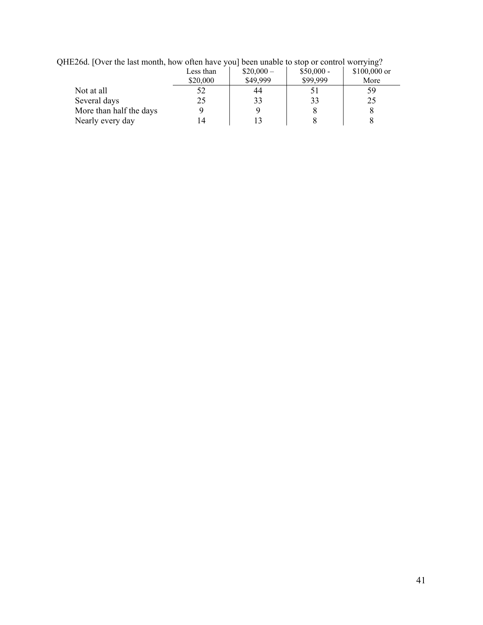| $12204.$ TO VCE the hast monthly now one may you focult analogue to stop of control worrying. |           |            |             |               |  |
|-----------------------------------------------------------------------------------------------|-----------|------------|-------------|---------------|--|
|                                                                                               | Less than | $$20,000-$ | $$50,000 -$ | $$100,000$ or |  |
|                                                                                               | \$20,000  | \$49,999   | \$99,999    | More          |  |
| Not at all                                                                                    |           | 44         |             | 59            |  |
| Several days                                                                                  |           | 33         |             | 25            |  |
| More than half the days                                                                       |           |            |             |               |  |
| Nearly every day                                                                              |           |            |             |               |  |

QHE26d. [Over the last month, how often have you] been unable to stop or control worrying?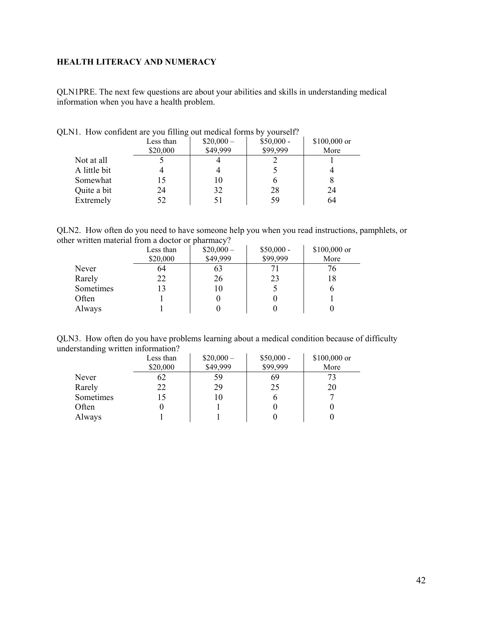# <span id="page-41-0"></span>**HEALTH LITERACY AND NUMERACY**

QLN1PRE. The next few questions are about your abilities and skills in understanding medical information when you have a health problem.

|              | $\circ$<br>Less than | $$20,000-$<br>\$49,999 | $$50,000 -$<br>\$99,999 | \$100,000 or<br>More |
|--------------|----------------------|------------------------|-------------------------|----------------------|
|              | \$20,000             |                        |                         |                      |
| Not at all   |                      |                        |                         |                      |
| A little bit |                      |                        |                         |                      |
| Somewhat     |                      | 10                     | o                       |                      |
| Quite a bit  | 24                   | 32                     | 28                      | 24                   |
| Extremely    | 52                   |                        | 59                      | 64                   |

QLN1. How confident are you filling out medical forms by yourself?

QLN2. How often do you need to have someone help you when you read instructions, pamphlets, or other written material from a doctor or pharmacy?

|           | Less than<br>\$20,000 | $$20,000-$<br>\$49,999 | $$50,000 -$<br>\$99,999 | \$100,000 or<br>More |
|-----------|-----------------------|------------------------|-------------------------|----------------------|
| Never     | 64                    | 63                     |                         | 76                   |
| Rarely    | 22                    | 26                     | 23                      | 18                   |
| Sometimes | 13                    | 10                     |                         |                      |
| Often     |                       |                        |                         |                      |
| Always    |                       |                        |                         |                      |

QLN3. How often do you have problems learning about a medical condition because of difficulty understanding written information?

|           | Less than<br>\$20,000 | $$20,000-$<br>\$49,999 | $$50,000 -$<br>\$99,999 | \$100,000 or<br>More |
|-----------|-----------------------|------------------------|-------------------------|----------------------|
| Never     | 62                    | 59                     | 69                      |                      |
| Rarely    | 22                    | 29                     | 25                      | 20                   |
| Sometimes | 15                    | 10                     |                         |                      |
| Often     |                       |                        |                         |                      |
| Always    |                       |                        |                         |                      |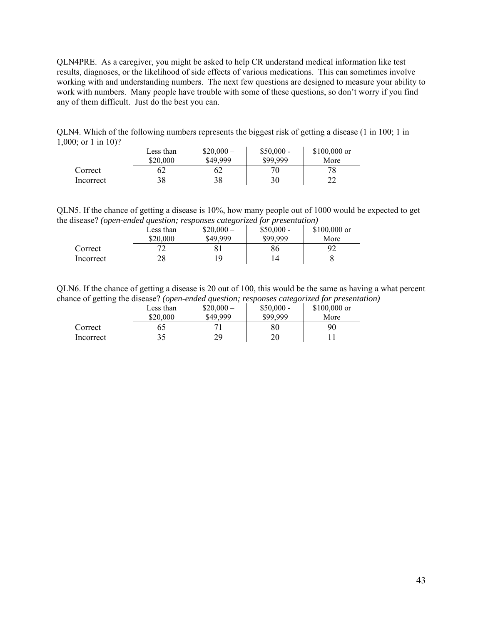QLN4PRE. As a caregiver, you might be asked to help CR understand medical information like test results, diagnoses, or the likelihood of side effects of various medications. This can sometimes involve working with and understanding numbers. The next few questions are designed to measure your ability to work with numbers. Many people have trouble with some of these questions, so don't worry if you find any of them difficult. Just do the best you can.

QLN4. Which of the following numbers represents the biggest risk of getting a disease (1 in 100; 1 in 1,000; or 1 in 10)?

|           | Less than<br>\$20,000 | $$20,000-$<br>\$49.999 | $$50,000 -$<br>\$99.999 | $$100,000$ or<br>More |
|-----------|-----------------------|------------------------|-------------------------|-----------------------|
| Correct   | 52                    | ΩŹ                     |                         |                       |
| Incorrect | 38                    | 38                     | 30                      |                       |

QLN5. If the chance of getting a disease is 10%, how many people out of 1000 would be expected to get the disease? *(open-ended question; responses categorized for presentation)*

|           | Less than | .<br>$$20,000-$ | ---<br>$$50,000 -$ | $$100,000$ or |
|-----------|-----------|-----------------|--------------------|---------------|
|           | \$20,000  | \$49,999        | \$99.999           | More          |
| Correct   |           |                 | 86                 |               |
| Incorrect | 28        | ١Q              |                    |               |

QLN6. If the chance of getting a disease is 20 out of 100, this would be the same as having a what percent chance of getting the disease? *(open-ended question; responses categorized for presentation)*

|           | Less than | $$20,000-$ | $$50,000 -$ | $$100,000$ or |
|-----------|-----------|------------|-------------|---------------|
|           | \$20,000  | \$49.999   | \$99,999    | More          |
| Correct   |           |            | 80          | 90            |
| Incorrect | 25        | 29         | 20          |               |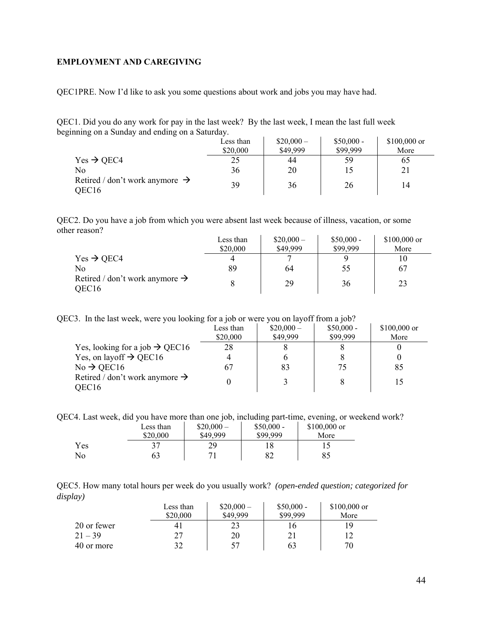#### <span id="page-43-0"></span>**EMPLOYMENT AND CAREGIVING**

QEC1PRE. Now I'd like to ask you some questions about work and jobs you may have had.

QEC1. Did you do any work for pay in the last week? By the last week, I mean the last full week beginning on a Sunday and ending on a Saturday.

|                                                                 | Less than<br>\$20,000 | $$20,000-$<br>\$49,999 | $$50,000 -$<br>\$99,999 | $$100,000$ or<br>More |
|-----------------------------------------------------------------|-----------------------|------------------------|-------------------------|-----------------------|
| $Yes \rightarrow OEC4$                                          | 25                    | 44                     | 59                      | 65                    |
| No                                                              | 36                    | 20                     |                         | 21                    |
| Retired / don't work anymore $\rightarrow$<br>OEC <sub>16</sub> | 39                    | 36                     | 26                      | 14                    |

QEC2. Do you have a job from which you were absent last week because of illness, vacation, or some other reason?  $\sim 1$ 

|                                                                 | Less than | $$20,000-$ | $$50,000 -$ | $$100,000$ or |
|-----------------------------------------------------------------|-----------|------------|-------------|---------------|
|                                                                 | \$20,000  | \$49,999   | \$99,999    | More          |
| Yes $\rightarrow$ QEC4                                          |           |            |             |               |
| No                                                              | 89        | 64         | 55          | 67            |
| Retired / don't work anymore $\rightarrow$<br>OEC <sub>16</sub> |           | 29         | 36          | 23            |

QEC3. In the last week, were you looking for a job or were you on layoff from a job?

|                                            | Less than | $$20,000-$ | $$50,000 -$ | $$100,000$ or |
|--------------------------------------------|-----------|------------|-------------|---------------|
|                                            | \$20,000  | \$49,999   | \$99,999    | More          |
| Yes, looking for a job $\rightarrow$ QEC16 | 28        |            |             |               |
| Yes, on layoff $\rightarrow$ QEC16         |           |            |             |               |
| $No \rightarrow$ QEC16                     |           | 83         |             | 85            |
| Retired / don't work anymore $\rightarrow$ |           |            |             |               |
| OEC16                                      |           |            |             |               |

QEC4. Last week, did you have more than one job, including part-time, evening, or weekend work?

|     | Less than | $$20,000-$ | $$50,000 -$ | $$100,000$ or |
|-----|-----------|------------|-------------|---------------|
|     | \$20,000  | \$49,999   | \$99.999    | More          |
| Yes |           | 29         |             |               |
| No  | 63        | 71         | 82          | 85            |

QEC5. How many total hours per week do you usually work? *(open-ended question; categorized for display)* 

|             | Less than<br>\$20,000 | $$20,000-$<br>\$49,999 | $$50,000 -$<br>\$99,999 | $$100,000$ or<br>More |
|-------------|-----------------------|------------------------|-------------------------|-----------------------|
| 20 or fewer |                       |                        |                         | 1 Q                   |
| $21 - 39$   | 77                    | 20                     |                         |                       |
| 40 or more  |                       |                        | 63                      | 70                    |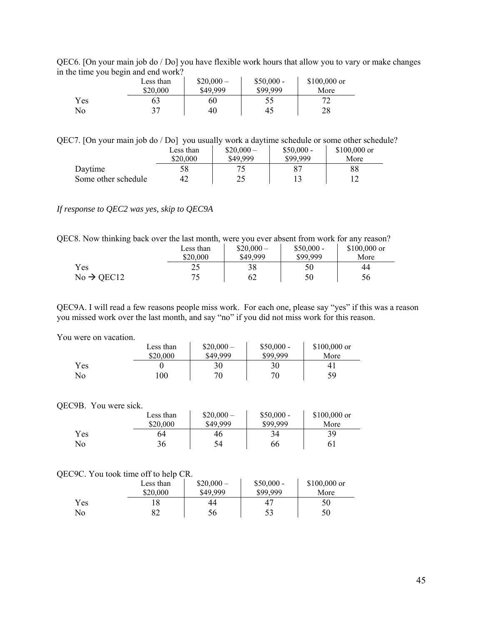|     | $\alpha$ and $\beta$ and $\alpha$ and $\alpha$ and $\alpha$ and $\alpha$ |            |             |               |  |
|-----|--------------------------------------------------------------------------|------------|-------------|---------------|--|
|     | Less than                                                                | $$20,000-$ | $$50,000 -$ | $$100,000$ or |  |
|     | \$20,000                                                                 | \$49,999   | \$99.999    | More          |  |
| Yes | 63                                                                       | 60         |             |               |  |
| No  | 37                                                                       | 40         | 45          | 28            |  |

QEC6. [On your main job do / Do] you have flexible work hours that allow you to vary or make changes in the time you begin and end work?

QEC7. [On your main job do / Do] you usually work a daytime schedule or some other schedule?

|                     | Less than | $$20,000-$ | $$50,000 -$ | $$100,000$ or |
|---------------------|-----------|------------|-------------|---------------|
|                     | \$20,000  | \$49,999   | \$99.999    | More          |
| Daytime             | 58        |            |             | 88            |
| Some other schedule | 42        |            |             |               |

#### *If response to QEC2 was yes, skip to QEC9A*

QEC8. Now thinking back over the last month, were you ever absent from work for any reason?

|                        | Less than | $$20,000-$ | $$50,000 -$ | $$100,000$ or |
|------------------------|-----------|------------|-------------|---------------|
|                        | \$20,000  | \$49,999   | \$99,999    | More          |
| Yes                    | ے ک       | 38         | 50          | 44            |
| $No \rightarrow$ OEC12 | 75        | 62         | 50          | 56            |

QEC9A. I will read a few reasons people miss work. For each one, please say "yes" if this was a reason you missed work over the last month, and say "no" if you did not miss work for this reason.

#### You were on vacation.

|     | Less than | $$20,000-$ | $$50,000 -$ | $$100,000$ or |
|-----|-----------|------------|-------------|---------------|
|     | \$20,000  | \$49,999   | \$99,999    | More          |
| Yes |           | 30         | 30          | 4.            |
| No  | 100       | 70         | 70          | 59            |

#### QEC9B. You were sick.

|     | Less than<br>\$20,000 | $$20,000-$<br>\$49,999 | $$50,000 -$<br>\$99.999 | \$100,000 or<br>More |
|-----|-----------------------|------------------------|-------------------------|----------------------|
| Yes | 64                    | 46                     | 34                      | 39                   |
| No  | 36                    | 54                     | 66                      | 61                   |

#### QEC9C. You took time off to help CR.

|     | Less than | $$20,000-$ | $$50,000 -$ | $$100,000$ or |
|-----|-----------|------------|-------------|---------------|
|     | \$20,000  | \$49,999   | \$99.999    | More          |
| Yes |           | 44         | 47          | 50            |
| No  | ⊋≏<br>э∠  | 56         | 53          | 50            |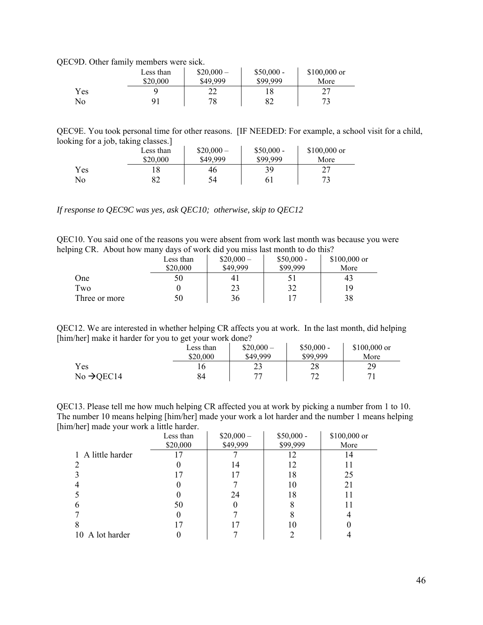QEC9D. Other family members were sick.

|     | Less than | $$20,000-$ | $$50,000 -$ | $$100,000$ or |  |
|-----|-----------|------------|-------------|---------------|--|
|     | \$20,000  | \$49,999   | \$99,999    | More          |  |
| Yes |           |            |             | ∠             |  |
| No  |           | 78         | ∘⊽          |               |  |

QEC9E. You took personal time for other reasons. [IF NEEDED: For example, a school visit for a child, looking for a job, taking classes.]

| $\tilde{\phantom{a}}$<br>$\tilde{\phantom{a}}$ | Less than | $$20,000-$ | $$50,000 -$ | $$100,000$ or |
|------------------------------------------------|-----------|------------|-------------|---------------|
|                                                | \$20,000  | \$49,999   | \$99,999    | More          |
| Yes                                            |           | 46         | 39          |               |
| No                                             |           | 54         | 61          |               |

*If response to QEC9C was yes, ask QEC10; otherwise, skip to QEC12* 

QEC10. You said one of the reasons you were absent from work last month was because you were helping CR. About how many days of work did you miss last month to do this?

| ຼ             | Less than | $$20,000-$ | $$50,000 -$ | $$100,000$ or |
|---------------|-----------|------------|-------------|---------------|
|               | \$20,000  | \$49,999   | \$99.999    | More          |
| One           | 50        | 41         |             | 43            |
| Two           |           | 23         | 32          | 19            |
| Three or more | 50        | 36         |             | 38            |

QEC12. We are interested in whether helping CR affects you at work. In the last month, did helping [him/her] make it harder for you to get your work done?

|                        | Less than | $$20,000-$ | $$50,000 -$ | $$100,000$ or |
|------------------------|-----------|------------|-------------|---------------|
|                        | \$20,000  | \$49,999   | \$99.999    | More          |
| Yes                    |           | 23         | 28          | 29            |
| $No \rightarrow$ QEC14 | 84        | חח         |             |               |

QEC13. Please tell me how much helping CR affected you at work by picking a number from 1 to 10. The number 10 means helping [him/her] made your work a lot harder and the number 1 means helping [him/her] made your work a little harder.  $\mathcal{L}^{\text{max}}$  $\sim$ 

|                   | Less than | $$20,000-$ | $$50,000 -$ | \$100,000 or |
|-------------------|-----------|------------|-------------|--------------|
|                   | \$20,000  | \$49,999   | \$99,999    | More         |
| 1 A little harder |           |            |             | 14           |
|                   |           | 14         | 12          |              |
|                   | 17        | 17         | 18          | 25           |
|                   |           |            | 10          | 21           |
|                   |           | 24         | 18          |              |
| b                 | 50        |            |             |              |
|                   |           |            |             |              |
| 8                 | ۱7        |            | 10          |              |
| 10 A lot harder   |           |            |             |              |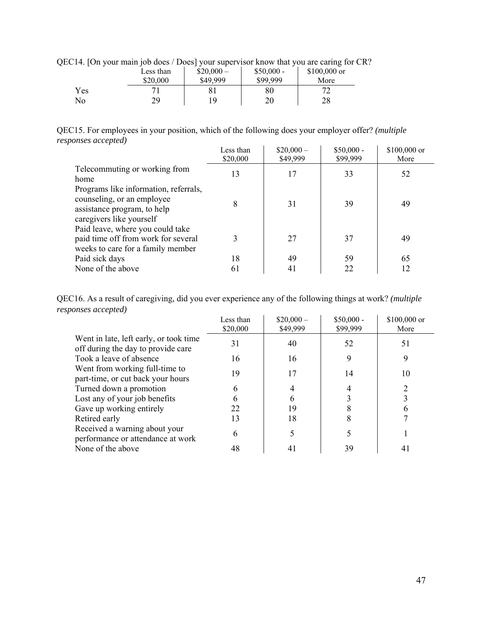QEC14. [On your main job does / Does] your supervisor know that you are caring for CR?

| ш.<br>ັ | Less than<br>\$20,000 | $$20,000-$<br>\$49,999 | $$50,000 -$<br>\$99,999 | $$100,000$ or<br>More |
|---------|-----------------------|------------------------|-------------------------|-----------------------|
| Yes     |                       | 8 <sub>1</sub>         | 80                      |                       |
| No      | 70                    | 1 Q                    | 20                      | 28                    |

QEC15. For employees in your position, which of the following does your employer offer? *(multiple responses accepted)*

|                                                                                                                                | Less than<br>\$20,000 | $$20,000-$<br>\$49,999 | $$50,000 -$<br>\$99,999 | \$100,000 or<br>More |
|--------------------------------------------------------------------------------------------------------------------------------|-----------------------|------------------------|-------------------------|----------------------|
| Telecommuting or working from<br>home                                                                                          | 13                    | 17                     | 33                      | 52                   |
| Programs like information, referrals,<br>counseling, or an employee<br>assistance program, to help<br>caregivers like yourself | 8                     | 31                     | 39                      | 49                   |
| Paid leave, where you could take<br>paid time off from work for several<br>weeks to care for a family member                   | 3                     | 27                     | 37                      | 49                   |
| Paid sick days                                                                                                                 | 18                    | 49                     | 59                      | 65                   |
| None of the above                                                                                                              | 61                    | 41                     | 22                      | 12                   |

QEC16. As a result of caregiving, did you ever experience any of the following things at work? *(multiple responses accepted)*

|                                                                              | Less than<br>\$20,000 | $$20,000-$<br>\$49,999 | $$50,000 -$<br>\$99,999 | \$100,000 or<br>More |
|------------------------------------------------------------------------------|-----------------------|------------------------|-------------------------|----------------------|
| Went in late, left early, or took time<br>off during the day to provide care | 31                    | 40                     | 52                      | 51                   |
| Took a leave of absence                                                      | 16                    | 16                     | 9                       | 9                    |
| Went from working full-time to<br>part-time, or cut back your hours          | 19                    | 17                     | 14                      | 10                   |
| Turned down a promotion                                                      | 6                     |                        |                         |                      |
| Lost any of your job benefits                                                | 6                     |                        |                         |                      |
| Gave up working entirely                                                     | 22                    | 19                     |                         |                      |
| Retired early                                                                | 13                    | 18                     |                         |                      |
| Received a warning about your<br>performance or attendance at work           | 6                     |                        |                         |                      |
| None of the above                                                            | 48                    | 41                     | 39                      | 41                   |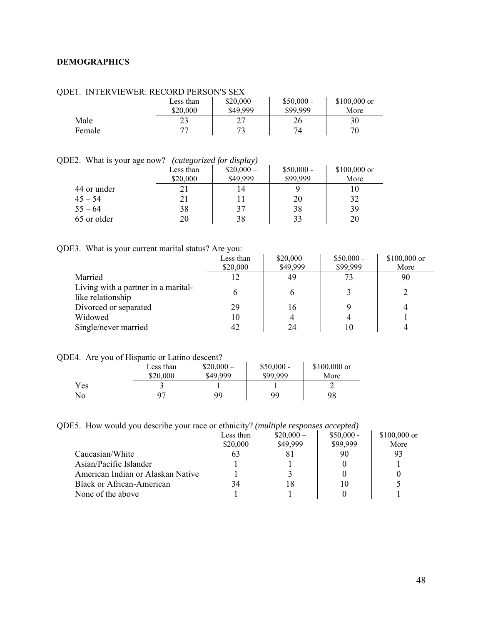### <span id="page-47-0"></span>**DEMOGRAPHICS**

| .      | TER LETTER. RECORD LEROO I DEZ |            |             |               |  |
|--------|--------------------------------|------------|-------------|---------------|--|
|        | Less than                      | $$20,000-$ | $$50,000 -$ | $$100,000$ or |  |
|        | \$20,000                       | \$49,999   | \$99,999    | More          |  |
| Male   | 23                             |            | 26          | 30            |  |
| Female | רר                             | 73         | 74          |               |  |
|        |                                |            |             |               |  |

### QDE1. INTERVIEWER: RECORD PERSON'S SEX

|  | QDE2. What is your age now? (categorized for display) |
|--|-------------------------------------------------------|
|  |                                                       |

| E2. What is your age now?<br>(categorized for display) |           |            |             |               |  |  |
|--------------------------------------------------------|-----------|------------|-------------|---------------|--|--|
|                                                        | Less than | $$20,000-$ | $$50,000 -$ | $$100,000$ or |  |  |
|                                                        | \$20,000  | \$49,999   | \$99,999    | More          |  |  |
| 44 or under                                            |           | 14         |             | 10            |  |  |
| $45 - 54$                                              |           |            | 20          | 32            |  |  |
| $55 - 64$                                              | 38        | 37         | 38          | 39            |  |  |
| 65 or older                                            | 20        | 38         | 33          | 20            |  |  |

# QDE3. What is your current marital status? Are you:

|                                                          | Less than<br>\$20,000 | $$20,000-$<br>\$49,999 | $$50,000 -$<br>\$99,999 | $$100,000$ or<br>More |
|----------------------------------------------------------|-----------------------|------------------------|-------------------------|-----------------------|
| Married                                                  |                       | 49                     | 73                      | 90                    |
| Living with a partner in a marital-<br>like relationship | 6                     | <sub>0</sub>           |                         |                       |
| Divorced or separated                                    | 29                    | 16                     |                         | 4                     |
| Widowed                                                  | 10                    | 4                      |                         |                       |
| Single/never married                                     | 42                    | 24                     |                         |                       |

# QDE4. Are you of Hispanic or Latino descent?

|     | Less than | $$20,000-$ | $$50,000 -$ | $$100,000$ or |
|-----|-----------|------------|-------------|---------------|
|     | \$20,000  | \$49,999   | \$99,999    | More          |
| Yes |           |            |             |               |
| No  |           | 99         | 99          | 98            |

### QDE5. How would you describe your race or ethnicity? *(multiple responses accepted)*

|                                   | Less than | $$20,000-$ | $$50,000 -$ | $$100,000$ or |
|-----------------------------------|-----------|------------|-------------|---------------|
|                                   | \$20,000  | \$49,999   | \$99,999    | More          |
| Caucasian/White                   | 63        |            | 90          | 93            |
| Asian/Pacific Islander            |           |            |             |               |
| American Indian or Alaskan Native |           |            |             |               |
| Black or African-American         | 34        | 18         | 10          |               |
| None of the above                 |           |            |             |               |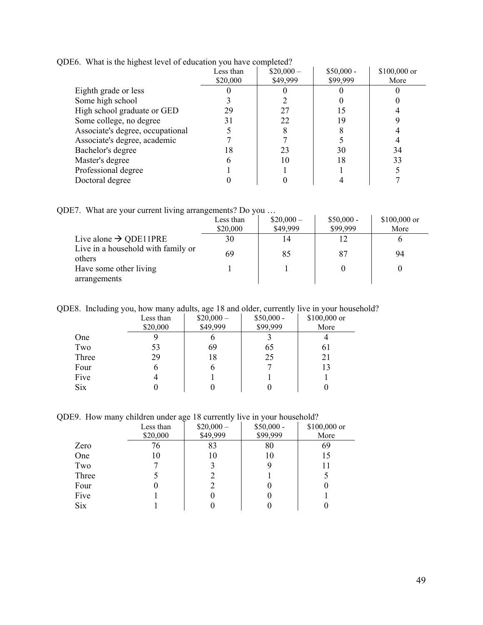|                                  | Less than | $$20,000-$ | $$50,000 -$ | \$100,000 or |
|----------------------------------|-----------|------------|-------------|--------------|
|                                  | \$20,000  | \$49,999   | \$99,999    | More         |
| Eighth grade or less             |           |            |             |              |
| Some high school                 |           |            |             |              |
| High school graduate or GED      | 29        |            |             |              |
| Some college, no degree          | 31        | 22         | 19          |              |
| Associate's degree, occupational |           |            |             |              |
| Associate's degree, academic     |           |            |             |              |
| Bachelor's degree                | 18        | 23         | 30          | 34           |
| Master's degree                  |           | 10         | 18          | 33           |
| Professional degree              |           |            |             |              |
| Doctoral degree                  |           |            |             |              |
|                                  |           |            |             |              |

QDE6. What is the highest level of education you have completed?

QDE7. What are your current living arrangements? Do you …

|                                              | Less than<br>\$20,000 | $$20,000-$<br>\$49,999 | $$50,000 -$<br>\$99,999 | $$100,000$ or<br>More |
|----------------------------------------------|-----------------------|------------------------|-------------------------|-----------------------|
| Live alone $\rightarrow$ QDE11PRE            | 30                    | 14                     |                         |                       |
| Live in a household with family or<br>others | 69                    | 85                     | 87                      | 94                    |
| Have some other living                       |                       |                        |                         |                       |
| arrangements                                 |                       |                        |                         |                       |

QDE8. Including you, how many adults, age 18 and older, currently live in your household?

|            | Less than | $$20,000-$ | $$50,000 -$ | \$100,000 or |
|------------|-----------|------------|-------------|--------------|
|            | \$20,000  | \$49,999   | \$99,999    | More         |
| One        |           | O          |             |              |
| Two        | 53        | 69         | 65          | 61           |
| Three      | 29        | 18         | 25          | 21           |
| Four       | o         | b          |             | 13           |
| Five       |           |            |             |              |
| <b>Six</b> |           | O          |             |              |

QDE9. How many children under age 18 currently live in your household?

|            | Less than | $$20,000-$ | $$50,000 -$ | \$100,000 or |
|------------|-----------|------------|-------------|--------------|
|            | \$20,000  | \$49,999   | \$99,999    | More         |
| Zero       | 76        | 83         | 80          | 69           |
| One        | 10        | 10         | 10          | 15           |
| Two        |           |            |             | Ħ            |
| Three      |           |            |             |              |
| Four       |           |            |             |              |
| Five       |           |            | U           |              |
| <b>Six</b> |           |            |             |              |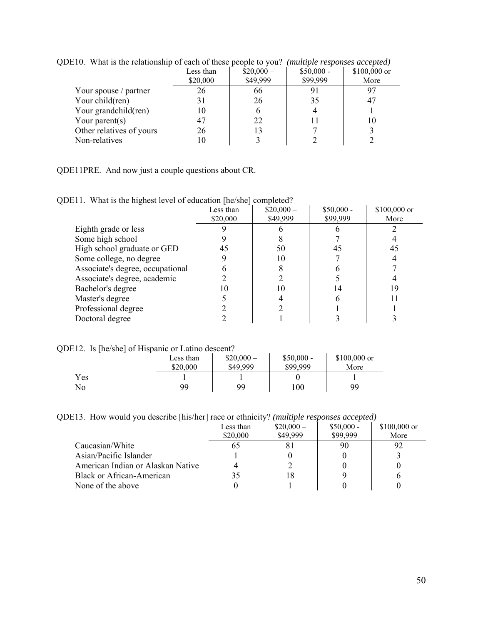| $\mu$ i.e. what is the relationship of each of these people to you: |           |            | <i>manpie responses accepteur</i> |              |
|---------------------------------------------------------------------|-----------|------------|-----------------------------------|--------------|
|                                                                     | Less than | $$20,000-$ | $$50,000 -$                       | \$100,000 or |
|                                                                     | \$20,000  | \$49,999   | \$99,999                          | More         |
| Your spouse / partner                                               | 26        | 66         | 91                                | 97           |
| Your child(ren)                                                     |           | 26         | 35                                | 47           |
| Your grandchild(ren)                                                | 10        |            |                                   |              |
| Your parent $(s)$                                                   | 47        | 22         |                                   | 10           |
| Other relatives of yours                                            | 26        | 13         |                                   |              |
| Non-relatives                                                       |           |            |                                   |              |
|                                                                     |           |            |                                   |              |

QDE10. What is the relationship of each of these people to you? *(multiple responses accepted)* 

QDE11PRE. And now just a couple questions about CR.

|  | QDE11. What is the highest level of education [he/she] completed? |  |  |
|--|-------------------------------------------------------------------|--|--|
|--|-------------------------------------------------------------------|--|--|

|                                  | Less than<br>\$20,000 | $$20,000-$<br>\$49,999 | $$50,000 -$<br>\$99,999 | \$100,000 or<br>More |
|----------------------------------|-----------------------|------------------------|-------------------------|----------------------|
|                                  |                       |                        |                         |                      |
| Eighth grade or less             |                       |                        |                         |                      |
| Some high school                 |                       |                        |                         |                      |
| High school graduate or GED      | 45                    | 50                     | 45                      | 45                   |
| Some college, no degree          |                       | 10                     |                         |                      |
| Associate's degree, occupational |                       |                        |                         |                      |
| Associate's degree, academic     |                       |                        |                         |                      |
| Bachelor's degree                |                       | 10                     |                         | 19                   |
| Master's degree                  |                       |                        |                         |                      |
| Professional degree              |                       |                        |                         |                      |
| Doctoral degree                  |                       |                        |                         |                      |

QDE12. Is [he/she] of Hispanic or Latino descent?

|     | - | Less than | $$20,000-$ | $$50,000 -$ | $$100,000$ or |
|-----|---|-----------|------------|-------------|---------------|
|     |   | \$20,000  | \$49,999   | \$99,999    | More          |
| Yes |   |           |            |             |               |
| No  |   | 99        | 99         | 100         | 99            |

QDE13. How would you describe [his/her] race or ethnicity? *(multiple responses accepted)*

|                                   | Less than | $$20,000-$ | $$50,000 -$ | $$100,000$ or |
|-----------------------------------|-----------|------------|-------------|---------------|
|                                   | \$20,000  | \$49,999   | \$99,999    | More          |
| Caucasian/White                   | 65        | 81         | 90          |               |
| Asian/Pacific Islander            |           |            |             |               |
| American Indian or Alaskan Native |           |            |             |               |
| Black or African-American         | 35        | 18         |             |               |
| None of the above                 |           |            |             |               |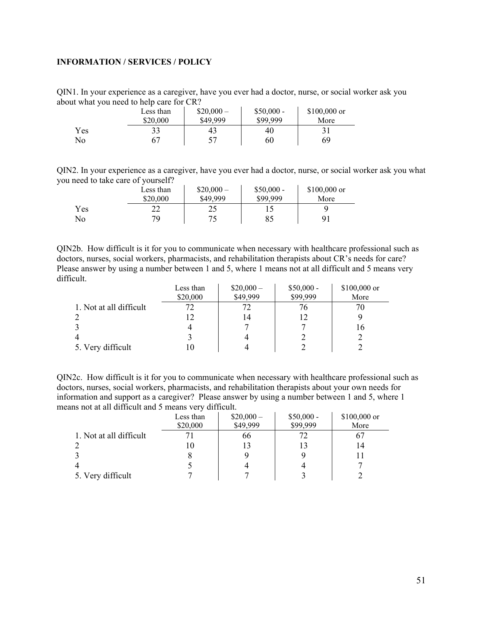# <span id="page-50-0"></span>**INFORMATION / SERVICES / POLICY**

QIN1. In your experience as a caregiver, have you ever had a doctor, nurse, or social worker ask you about what you need to help care for CR?

|     | Less than | $$20,000-$ | $$50,000 -$ | $$100,000$ or |
|-----|-----------|------------|-------------|---------------|
|     | \$20,000  | \$49,999   | \$99.999    | More          |
| Yes |           | 43         | 40          |               |
| No  |           |            | 60          | 69            |

QIN2. In your experience as a caregiver, have you ever had a doctor, nurse, or social worker ask you what you need to take care of yourself?

|     | Less than<br>\$20,000 | $$20,000-$<br>\$49,999 | $$50,000 -$<br>\$99.999 | $$100,000$ or<br>More |
|-----|-----------------------|------------------------|-------------------------|-----------------------|
| Yes | າາ<br>∠∠              | ر ے                    |                         |                       |
| No  | 79                    |                        | 85                      | Q <sub>1</sub>        |

QIN2b. How difficult is it for you to communicate when necessary with healthcare professional such as doctors, nurses, social workers, pharmacists, and rehabilitation therapists about CR's needs for care? Please answer by using a number between 1 and 5, where 1 means not at all difficult and 5 means very difficult.

|                         | Less than | $$20,000-$ | $$50,000 -$ | \$100,000 or |
|-------------------------|-----------|------------|-------------|--------------|
|                         | \$20,000  | \$49,999   | \$99,999    | More         |
| 1. Not at all difficult |           |            | 76          |              |
|                         |           |            | 12          |              |
|                         |           |            |             | 16           |
|                         |           |            |             |              |
| 5. Very difficult       |           |            |             |              |

QIN2c. How difficult is it for you to communicate when necessary with healthcare professional such as doctors, nurses, social workers, pharmacists, and rehabilitation therapists about your own needs for information and support as a caregiver? Please answer by using a number between 1 and 5, where 1 means not at all difficult and 5 means very difficult.

|                         | Less than | $$20,000-$ | $$50,000 -$ | \$100,000 or |
|-------------------------|-----------|------------|-------------|--------------|
|                         | \$20,000  | \$49,999   | \$99,999    | More         |
| 1. Not at all difficult |           | 66         |             | 67           |
|                         | 10        |            |             | 14           |
|                         |           |            |             |              |
|                         |           |            |             |              |
| 5. Very difficult       |           |            |             |              |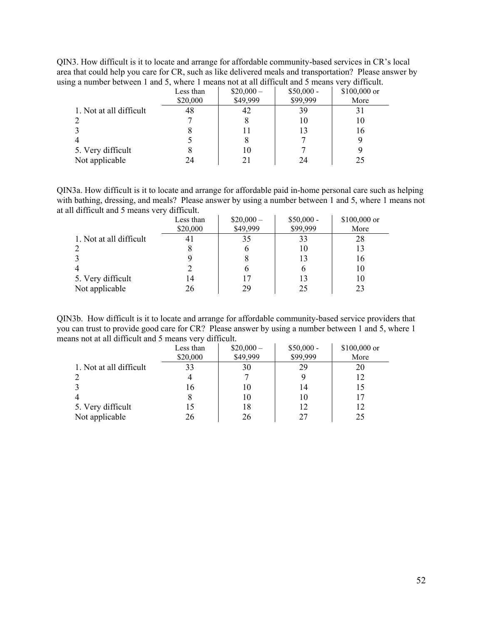QIN3. How difficult is it to locate and arrange for affordable community-based services in CR's local area that could help you care for CR, such as like delivered meals and transportation? Please answer by using a number between 1 and 5, where 1 means not at all difficult and 5 means very difficult.

| $\Box$ where $\Box$ is a contract of $\Box$ | Less than<br>\$20,000 | $$20,000-$<br>\$49,999 | $$50,000 -$<br>\$99,999 | $\cdot$<br>\$100,000 or<br>More |
|---------------------------------------------|-----------------------|------------------------|-------------------------|---------------------------------|
| 1. Not at all difficult                     | 48                    |                        | 39                      |                                 |
|                                             |                       |                        | 10                      | 10                              |
|                                             |                       |                        | 13                      | 16                              |
| 4                                           |                       |                        |                         |                                 |
| 5. Very difficult                           |                       |                        |                         |                                 |
| Not applicable                              | 24                    |                        | 24                      | 25                              |

QIN3a. How difficult is it to locate and arrange for affordable paid in-home personal care such as helping with bathing, dressing, and meals? Please answer by using a number between 1 and 5, where 1 means not at all difficult and 5 means very difficult.

|                         | Less than<br>\$20,000 | $$20,000-$<br>\$49,999 | $$50,000 -$<br>\$99,999 | \$100,000 or<br>More |
|-------------------------|-----------------------|------------------------|-------------------------|----------------------|
| 1. Not at all difficult |                       | 35                     | 33                      | 28                   |
|                         |                       |                        | 10                      | 13                   |
|                         |                       |                        | 13                      | 16                   |
|                         |                       |                        |                         | 10                   |
| 5. Very difficult       | 14                    |                        | 13                      | 10                   |
| Not applicable          | 26                    | 29                     | 25                      | 23                   |

QIN3b. How difficult is it to locate and arrange for affordable community-based service providers that you can trust to provide good care for CR? Please answer by using a number between 1 and 5, where 1 means not at all difficult and 5 means very difficult.

|                         | Less than | $$20,000-$ | $$50,000 -$ | $$100,000$ or |
|-------------------------|-----------|------------|-------------|---------------|
|                         | \$20,000  | \$49,999   | \$99,999    | More          |
| 1. Not at all difficult | 33        | 30         | 29          | 20            |
|                         |           |            |             | 12            |
|                         | 16        | 10         | 14          | 15            |
|                         |           | 10         | 10          | 17            |
| 5. Very difficult       |           | 18         | 12          | 12            |
| Not applicable          | 26        | 26         | 27          | 25            |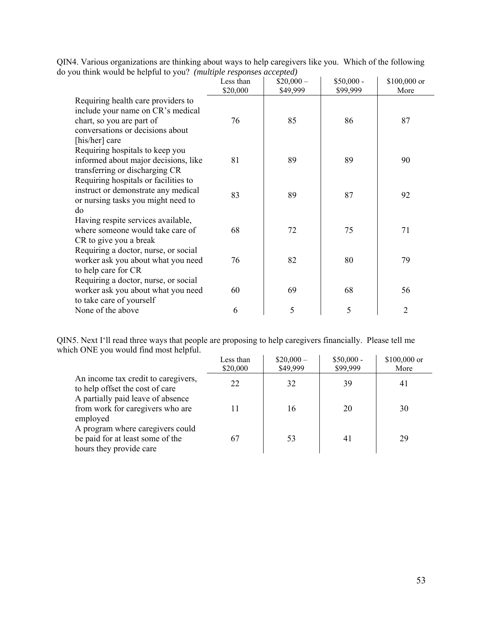|                                                                                                                                                            | Less than<br>\$20,000 | $$20,000-$<br>\$49,999 | $$50,000 -$<br>\$99,999 | \$100,000 or<br>More |
|------------------------------------------------------------------------------------------------------------------------------------------------------------|-----------------------|------------------------|-------------------------|----------------------|
| Requiring health care providers to<br>include your name on CR's medical<br>chart, so you are part of<br>conversations or decisions about<br>[his/her] care | 76                    | 85                     | 86                      | 87                   |
| Requiring hospitals to keep you<br>informed about major decisions, like<br>transferring or discharging CR                                                  | 81                    | 89                     | 89                      | 90                   |
| Requiring hospitals or facilities to<br>instruct or demonstrate any medical<br>or nursing tasks you might need to<br>do                                    | 83                    | 89                     | 87                      | 92                   |
| Having respite services available,<br>where someone would take care of<br>CR to give you a break                                                           | 68                    | 72                     | 75                      | 71                   |
| Requiring a doctor, nurse, or social<br>worker ask you about what you need<br>to help care for CR<br>Requiring a doctor, nurse, or social                  | 76                    | 82                     | 80                      | 79                   |
| worker ask you about what you need<br>to take care of yourself                                                                                             | 60                    | 69                     | 68                      | 56                   |
| None of the above                                                                                                                                          | 6                     | 5                      | 5                       | $\overline{2}$       |

QIN4. Various organizations are thinking about ways to help caregivers like you. Which of the following do you think would be helpful to you? *(multiple responses accepted)* 

QIN5. Next I'll read three ways that people are proposing to help caregivers financially. Please tell me which ONE you would find most helpful.

|                                                                                                 | Less than<br>\$20,000 | $$20,000-$<br>\$49,999 | $$50,000 -$<br>\$99,999 | $$100,000$ or<br>More |
|-------------------------------------------------------------------------------------------------|-----------------------|------------------------|-------------------------|-----------------------|
| An income tax credit to caregivers,<br>to help offset the cost of care                          | 22                    | 32                     | 39                      | 41                    |
| A partially paid leave of absence<br>from work for caregivers who are<br>employed               |                       | 16                     | 20                      | 30                    |
| A program where caregivers could<br>be paid for at least some of the<br>hours they provide care | 67                    | 53                     | 41                      | 29                    |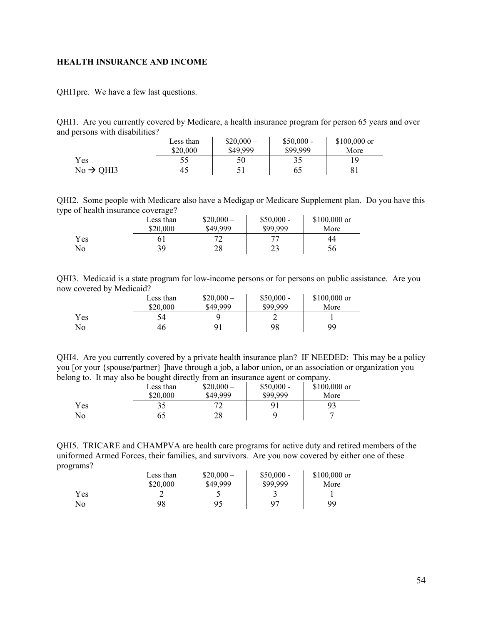### <span id="page-53-0"></span>**HEALTH INSURANCE AND INCOME**

QHI1pre. We have a few last questions.

QHI1. Are you currently covered by Medicare, a health insurance program for person 65 years and over and persons with disabilities?

|                       | Less than | $$20,000-$ | $$50,000 -$ | $$100,000$ or |
|-----------------------|-----------|------------|-------------|---------------|
|                       | \$20,000  | \$49,999   | \$99,999    | More          |
| Yes                   |           | 50         |             | 1 Q           |
| $No \rightarrow QHI3$ | 45        |            | 65          |               |

QHI2. Some people with Medicare also have a Medigap or Medicare Supplement plan. Do you have this type of health insurance coverage?

|     | Less than<br>\$20,000 | $$20,000-$<br>\$49,999 | $$50,000 -$<br>\$99.999 | $$100,000$ or<br>More |
|-----|-----------------------|------------------------|-------------------------|-----------------------|
| Yes |                       |                        | רת                      | 44                    |
| No  | 39                    | 28                     | າາ<br>ر ے               | 56                    |

QHI3. Medicaid is a state program for low-income persons or for persons on public assistance. Are you now covered by Medicaid?

|     | Less than | $$20,000-$ | $$50,000 -$ | $$100,000$ or |
|-----|-----------|------------|-------------|---------------|
|     | \$20,000  | \$49,999   | \$99,999    | More          |
| Yes | 54        |            |             |               |
| No  | 46        |            | 98          | 99            |

QHI4. Are you currently covered by a private health insurance plan? IF NEEDED: This may be a policy you [or your {spouse/partner} ]have through a job, a labor union, or an association or organization you belong to. It may also be bought directly from an insurance agent or company.

| -   | Less than | $$20,000-$ | $$50,000 -$<br>\$99.999 | $$100,000$ or |  |
|-----|-----------|------------|-------------------------|---------------|--|
|     | \$20,000  | \$49,999   |                         | More          |  |
| Yes |           | ∠          | 91                      |               |  |
| No  | 65        | 28         |                         |               |  |

QHI5. TRICARE and CHAMPVA are health care programs for active duty and retired members of the uniformed Armed Forces, their families, and survivors. Are you now covered by either one of these programs?  $\mathcal{L}^{\mathcal{L}}$ 

|     | Less than | $$20,000-$ | $$50,000 -$ | $$100,000$ or |
|-----|-----------|------------|-------------|---------------|
|     | \$20,000  | \$49,999   | \$99,999    | More          |
| Yes |           |            |             |               |
| No  | 98        | 95         | $Q^{\pi}$   | 99            |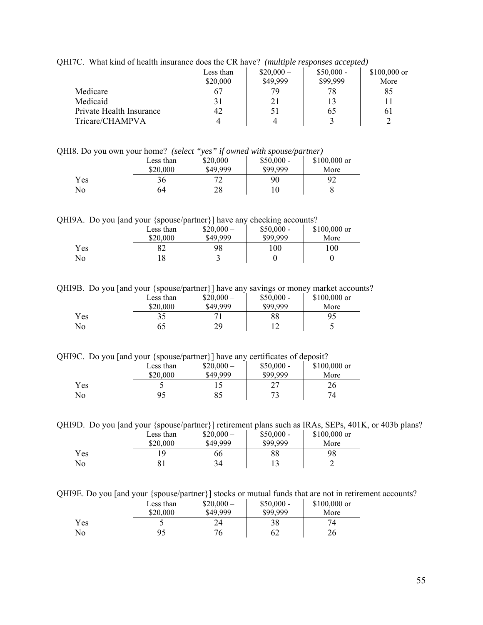|  |  | QHI7C. What kind of health insurance does the CR have? (multiple responses accepted) |  |  |
|--|--|--------------------------------------------------------------------------------------|--|--|
|--|--|--------------------------------------------------------------------------------------|--|--|

|                          | Less than<br>\$20,000 | $$20,000-$<br>\$49,999 | $$50,000 -$<br>\$99.999 | $$100,000$ or<br>More |
|--------------------------|-----------------------|------------------------|-------------------------|-----------------------|
| Medicare                 |                       | 79                     | 78                      | 85                    |
| Medicaid                 |                       | 21                     |                         |                       |
| Private Health Insurance | 42                    | 51                     | 65                      | 61                    |
| Tricare/CHAMPVA          |                       |                        |                         |                       |

QHI8. Do you own your home? *(select "yes" if owned with spouse/partner)* 

|     | Less than<br>\$20,000 | $$20,000-$<br>\$49,999 | $$50,000 -$<br>\$99,999 | $$100,000$ or<br>More |
|-----|-----------------------|------------------------|-------------------------|-----------------------|
| Yes | 36                    | רד                     | 90                      | 92                    |
| No  | 64                    | 28                     |                         |                       |

QHI9A. Do you [and your {spouse/partner}] have any checking accounts?

|     | Less than | $$20,000-$ | $$50,000 -$ | \$100,000 or |
|-----|-----------|------------|-------------|--------------|
|     | \$20,000  | \$49,999   | \$99,999    | More         |
| Yes |           | 98         | 100         | 100          |
| No  |           |            |             |              |

QHI9B. Do you [and your {spouse/partner}] have any savings or money market accounts?

|     | Less than | $$20,000-$ | $$50,000 -$ | $$100,000$ or |
|-----|-----------|------------|-------------|---------------|
|     | \$20,000  | \$49,999   | \$99,999    | More          |
| Yes | 35        |            | 88          | 95            |
| No  | 65        | 29         |             | ب             |

QHI9C. Do you [and your {spouse/partner}] have any certificates of deposit?

|     | Less than<br>\$20,000 | $$20,000-$<br>\$49,999 | $$50,000 -$<br>\$99,999 | \$100,000 or<br>More |
|-----|-----------------------|------------------------|-------------------------|----------------------|
| Yes |                       |                        | ີ                       | 26                   |
| No  |                       | 85                     | 72                      |                      |

QHI9D. Do you [and your {spouse/partner}] retirement plans such as IRAs, SEPs, 401K, or 403b plans?

|            | Less than | $$20,000-$ | $$50,000 -$ | $$100,000$ or |
|------------|-----------|------------|-------------|---------------|
|            | \$20,000  | \$49,999   | \$99,999    | More          |
| <b>Yes</b> | 1 Q       | 66         | 88          | 98            |
| No         | 81        | 34         |             |               |

QHI9E. Do you [and your {spouse/partner}] stocks or mutual funds that are not in retirement accounts?

|     | Less than | $$20,000-$ | $$50,000 -$ | $$100,000$ or |
|-----|-----------|------------|-------------|---------------|
|     | \$20,000  | \$49,999   | \$99,999    | More          |
| Yes |           | 24         | 38          |               |
| No  | 95        | 76         | 62          | 26            |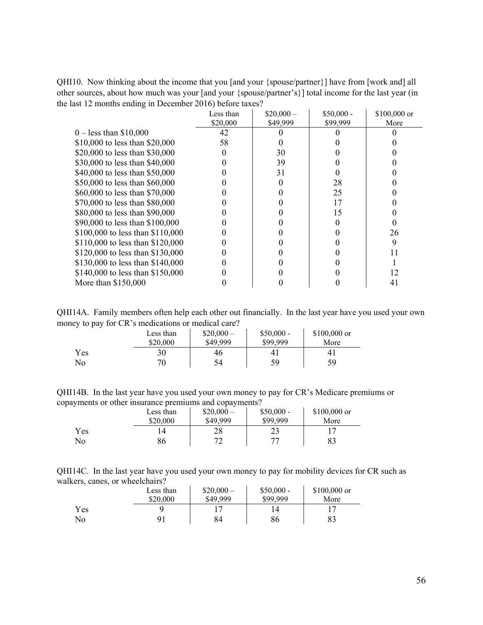QHI10. Now thinking about the income that you [and your {spouse/partner}] have from [work and] all other sources, about how much was your [and your {spouse/partner's}] total income for the last year (in the last 12 months ending in December 2016) before taxes?

|                                  | Less than | $$20,000-$ | $$50,000 -$ | \$100,000 or |
|----------------------------------|-----------|------------|-------------|--------------|
|                                  | \$20,000  | \$49,999   | \$99,999    | More         |
| $0 -$ less than \$10,000         | 42        |            |             |              |
| \$10,000 to less than \$20,000   | 58        |            |             |              |
| \$20,000 to less than \$30,000   |           | 30         |             |              |
| \$30,000 to less than \$40,000   |           | 39         |             |              |
| \$40,000 to less than \$50,000   |           | 31         |             |              |
| \$50,000 to less than \$60,000   |           |            | 28          |              |
| \$60,000 to less than \$70,000   |           |            | 25          |              |
| \$70,000 to less than \$80,000   |           |            | 17          |              |
| \$80,000 to less than \$90,000   |           |            | 15          |              |
| \$90,000 to less than \$100,000  |           |            |             |              |
| \$100,000 to less than \$110,000 |           |            |             | 26           |
| \$110,000 to less than \$120,000 |           |            |             | 9            |
| \$120,000 to less than \$130,000 |           |            |             |              |
| \$130,000 to less than \$140,000 |           |            |             |              |
| \$140,000 to less than \$150,000 |           |            |             | 12           |
| More than $$150,000$             |           |            |             | 41           |

QHI14A. Family members often help each other out financially. In the last year have you used your own money to pay for CR's medications or medical care?

|     | Less than<br>\$20,000 | $$20,000-$<br>\$49,999 | $$50,000 -$<br>\$99.999 | $$100,000$ or<br>More |
|-----|-----------------------|------------------------|-------------------------|-----------------------|
| Yes | 30                    | 46                     | 41                      | 41                    |
| No  | 70                    | 54                     | 59                      | 59                    |

QHI14B. In the last year have you used your own money to pay for CR's Medicare premiums or copayments or other insurance premiums and copayments?

|     | Less than<br>\$20,000 | $$20,000-$<br>\$49,999 | $$50,000 -$<br>\$99.999 | $$100,000$ or<br>More |
|-----|-----------------------|------------------------|-------------------------|-----------------------|
| Yes |                       | 28                     | າາ<br>29                |                       |
| No  | 86                    |                        | רת                      | 83                    |

| QHI14C. In the last year have you used your own money to pay for mobility devices for CR such as |  |  |  |  |
|--------------------------------------------------------------------------------------------------|--|--|--|--|
| walkers, canes, or wheelchairs?                                                                  |  |  |  |  |

|     | Less than | $$20,000-$ | $$50,000 -$ | $$100,000$ or |
|-----|-----------|------------|-------------|---------------|
|     | \$20,000  | \$49,999   | \$99.999    | More          |
| Yes |           |            |             |               |
| No  | 91        | 84         | 86          | 83            |